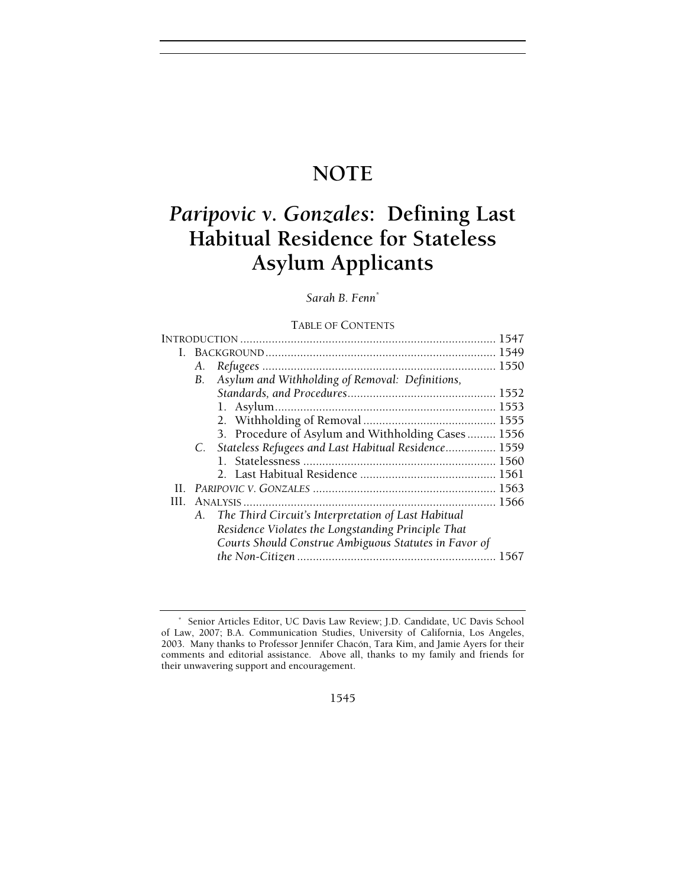# **NOTE**

# *Paripovic v. Gonzales***: Defining Last Habitual Residence for Stateless Asylum Applicants**

# *Sarah B. Fenn\**

# TABLE OF CONTENTS

| L.  |           |                                                        |  |
|-----|-----------|--------------------------------------------------------|--|
|     | А.        |                                                        |  |
|     | <b>B.</b> | Asylum and Withholding of Removal: Definitions,        |  |
|     |           |                                                        |  |
|     |           |                                                        |  |
|     |           |                                                        |  |
|     |           | 3. Procedure of Asylum and Withholding Cases 1556      |  |
|     |           | C. Stateless Refugees and Last Habitual Residence 1559 |  |
|     |           |                                                        |  |
|     |           |                                                        |  |
| Н.  |           |                                                        |  |
| HL. |           |                                                        |  |
|     | А.        | The Third Circuit's Interpretation of Last Habitual    |  |
|     |           | Residence Violates the Longstanding Principle That     |  |
|     |           | Courts Should Construe Ambiguous Statutes in Favor of  |  |
|     |           |                                                        |  |
|     |           |                                                        |  |

<sup>\*</sup> Senior Articles Editor, UC Davis Law Review; J.D. Candidate, UC Davis School of Law, 2007; B.A. Communication Studies, University of California, Los Angeles, 2003. Many thanks to Professor Jennifer Chacón, Tara Kim, and Jamie Ayers for their comments and editorial assistance. Above all, thanks to my family and friends for their unwavering support and encouragement.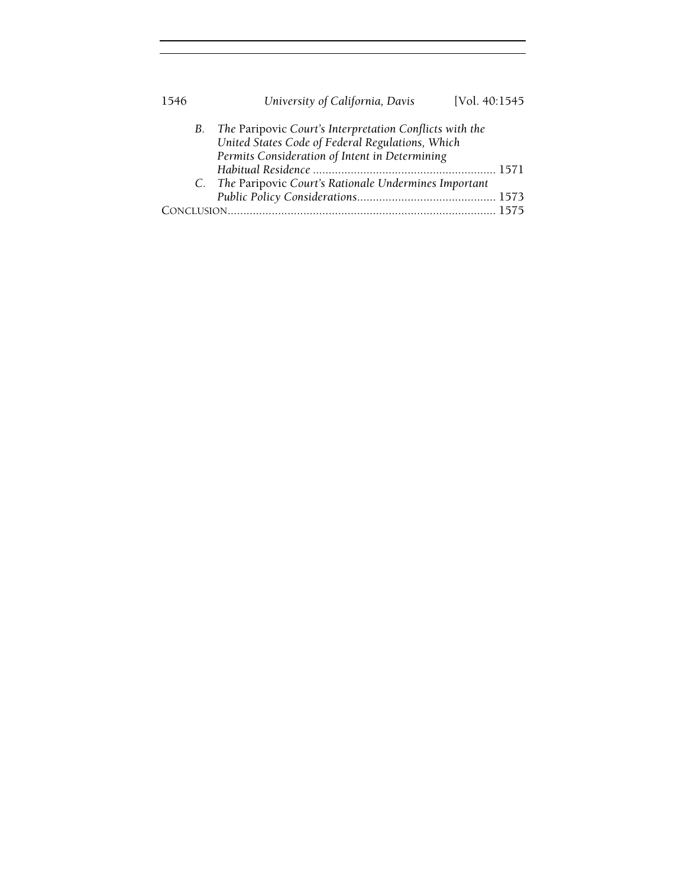| 1546 | University of California, Davis<br>[Vol. 40:1545]                                                                                                                |
|------|------------------------------------------------------------------------------------------------------------------------------------------------------------------|
|      | B. The Paripovic Court's Interpretation Conflicts with the<br>United States Code of Federal Regulations, Which<br>Permits Consideration of Intent in Determining |
|      | C. The Paripovic Court's Rationale Undermines Important                                                                                                          |
|      |                                                                                                                                                                  |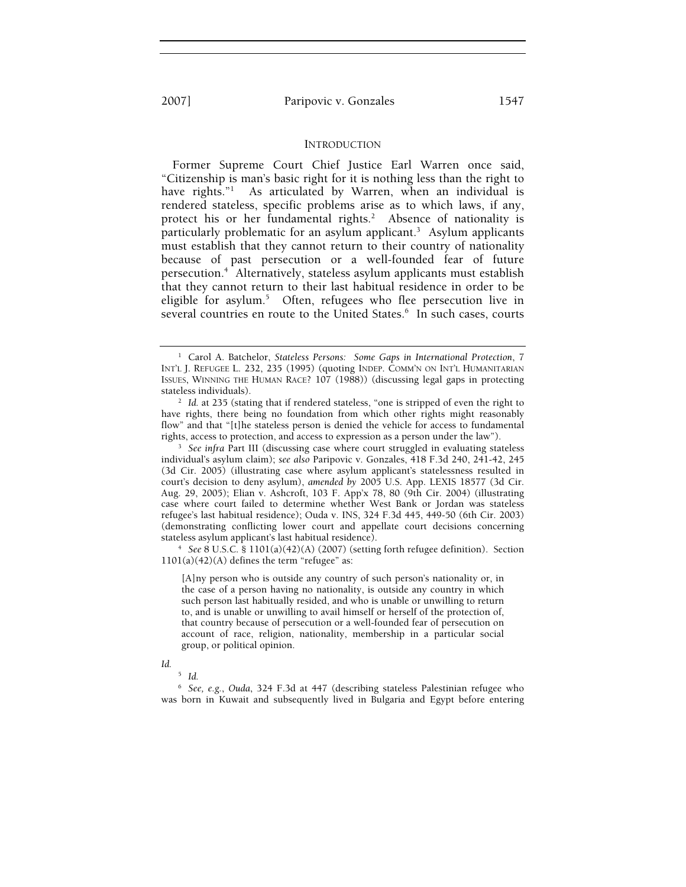2007] Paripovic v. Gonzales 1547

### INTRODUCTION

Former Supreme Court Chief Justice Earl Warren once said, "Citizenship is man's basic right for it is nothing less than the right to have rights."<sup>1</sup> As articulated by Warren, when an individual is rendered stateless, specific problems arise as to which laws, if any, protect his or her fundamental rights.<sup>2</sup> Absence of nationality is particularly problematic for an asylum applicant.<sup>3</sup> Asylum applicants must establish that they cannot return to their country of nationality because of past persecution or a well-founded fear of future persecution.4 Alternatively, stateless asylum applicants must establish that they cannot return to their last habitual residence in order to be eligible for asylum.<sup>5</sup> Often, refugees who flee persecution live in several countries en route to the United States.<sup>6</sup> In such cases, courts

 *See* 8 U.S.C. § 1101(a)(42)(A) (2007) (setting forth refugee definition). Section  $1101(a)(42)(A)$  defines the term "refugee" as:

[A]ny person who is outside any country of such person's nationality or, in the case of a person having no nationality, is outside any country in which such person last habitually resided, and who is unable or unwilling to return to, and is unable or unwilling to avail himself or herself of the protection of, that country because of persecution or a well-founded fear of persecution on account of race, religion, nationality, membership in a particular social group, or political opinion.

#### *Id.*

5  *Id.*

6  *See, e.g.*, *Ouda*, 324 F.3d at 447 (describing stateless Palestinian refugee who was born in Kuwait and subsequently lived in Bulgaria and Egypt before entering

<sup>&</sup>lt;sup>1</sup> Carol A. Batchelor, *Stateless Persons: Some Gaps in International Protection*, 7 INT'L J. REFUGEE L. 232, 235 (1995) (quoting INDEP. COMM'N ON INT'L HUMANITARIAN ISSUES, WINNING THE HUMAN RACE? 107 (1988)) (discussing legal gaps in protecting stateless individuals). 2

<sup>&</sup>lt;sup>2</sup> Id. at 235 (stating that if rendered stateless, "one is stripped of even the right to have rights, there being no foundation from which other rights might reasonably flow" and that "[t]he stateless person is denied the vehicle for access to fundamental rights, access to protection, and access to expression as a person under the law").

<sup>&</sup>lt;sup>3</sup> See infra Part III (discussing case where court struggled in evaluating stateless individual's asylum claim); *see also* Paripovic v. Gonzales, 418 F.3d 240, 241-42, 245 (3d Cir. 2005) (illustrating case where asylum applicant's statelessness resulted in court's decision to deny asylum), *amended by* 2005 U.S. App. LEXIS 18577 (3d Cir. Aug. 29, 2005); Elian v. Ashcroft, 103 F. App'x 78, 80 (9th Cir. 2004) (illustrating case where court failed to determine whether West Bank or Jordan was stateless refugee's last habitual residence); Ouda v. INS, 324 F.3d 445, 449-50 (6th Cir. 2003) (demonstrating conflicting lower court and appellate court decisions concerning stateless asylum applicant's last habitual residence). 4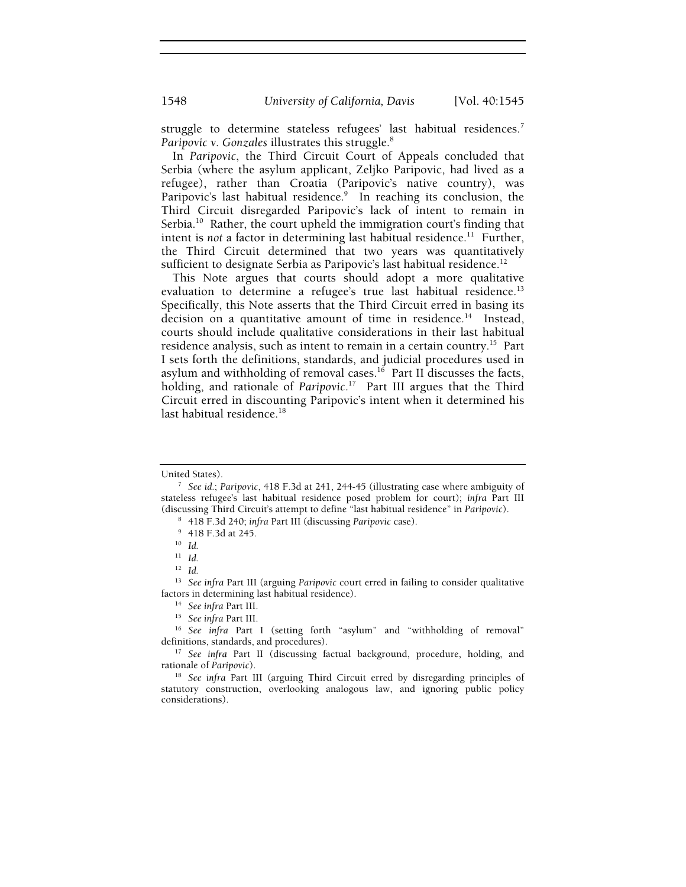struggle to determine stateless refugees' last habitual residences.<sup>7</sup> *Paripovic v. Gonzales* illustrates this struggle.<sup>8</sup>

In *Paripovic*, the Third Circuit Court of Appeals concluded that Serbia (where the asylum applicant, Zeljko Paripovic, had lived as a refugee), rather than Croatia (Paripovic's native country), was Paripovic's last habitual residence.<sup>9</sup> In reaching its conclusion, the Third Circuit disregarded Paripovic's lack of intent to remain in Serbia.<sup>10</sup> Rather, the court upheld the immigration court's finding that intent is *not* a factor in determining last habitual residence.<sup>11</sup> Further, the Third Circuit determined that two years was quantitatively sufficient to designate Serbia as Paripovic's last habitual residence.<sup>12</sup>

This Note argues that courts should adopt a more qualitative evaluation to determine a refugee's true last habitual residence.<sup>13</sup> Specifically, this Note asserts that the Third Circuit erred in basing its decision on a quantitative amount of time in residence.<sup>14</sup> Instead, courts should include qualitative considerations in their last habitual residence analysis, such as intent to remain in a certain country.15 Part I sets forth the definitions, standards, and judicial procedures used in asylum and withholding of removal cases.<sup>16</sup> Part II discusses the facts, holding, and rationale of *Paripovic*. 17 Part III argues that the Third Circuit erred in discounting Paripovic's intent when it determined his last habitual residence.<sup>18</sup>

United States).

*See id.*; *Paripovic*, 418 F.3d at 241, 244-45 (illustrating case where ambiguity of stateless refugee's last habitual residence posed problem for court); *infra* Part III (discussing Third Circuit's attempt to define "last habitual residence" in *Paripovic*). 8

 <sup>418</sup> F.3d 240; *infra* Part III (discussing *Paripovic* case). 9

 <sup>418</sup> F.3d at 245.

<sup>10</sup> *Id.*

<sup>11</sup> *Id.*

<sup>12</sup> *Id.*

<sup>13</sup> *See infra* Part III (arguing *Paripovic* court erred in failing to consider qualitative Factors in determining last habitual residence).<br><sup>14</sup> See infra Part III.<br><sup>15</sup> See infra Part I (setting forth "asylum" and "withholding of removal"

definitions, standards, and procedures). 17 *See infra* Part II (discussing factual background, procedure, holding, and

rationale of *Paripovic*). 18 *See infra* Part III (arguing Third Circuit erred by disregarding principles of

statutory construction, overlooking analogous law, and ignoring public policy considerations).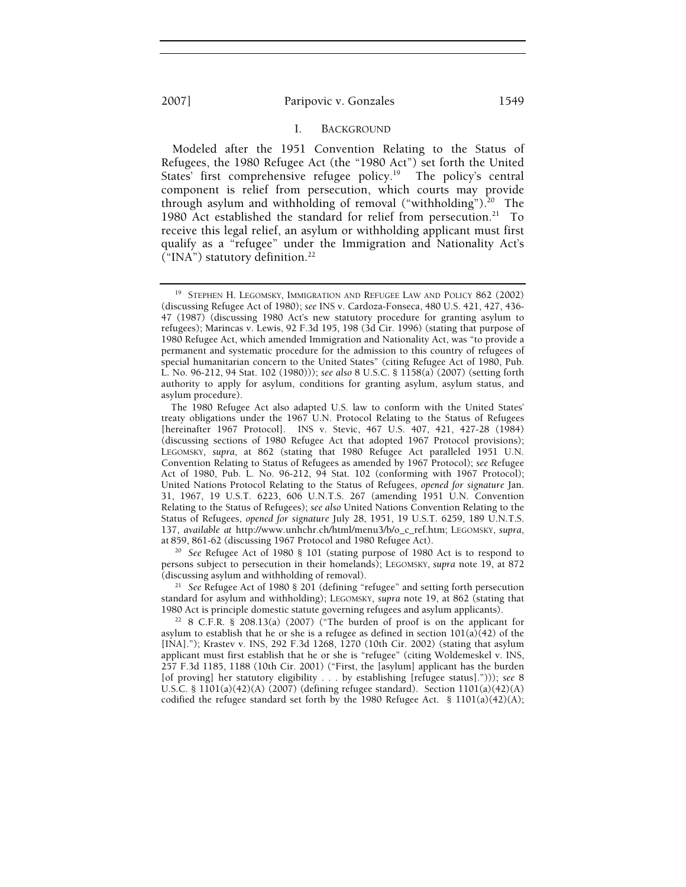### I. BACKGROUND

Modeled after the 1951 Convention Relating to the Status of Refugees, the 1980 Refugee Act (the "1980 Act") set forth the United States' first comprehensive refugee policy.<sup>19</sup> The policy's central component is relief from persecution, which courts may provide through asylum and withholding of removal ("withholding").<sup>20</sup> The 1980 Act established the standard for relief from persecution.<sup>21</sup> To receive this legal relief, an asylum or withholding applicant must first qualify as a "refugee" under the Immigration and Nationality Act's ("INA") statutory definition.22

<sup>20</sup> See Refugee Act of 1980 § 101 (stating purpose of 1980 Act is to respond to persons subject to persecution in their homelands); LEGOMSKY, *supra* note 19, at 872 (discussing asylum and withholding of removal). 21 *See* Refugee Act of 1980 § 201 (defining "refugee" and setting forth persecution

standard for asylum and withholding); LEGOMSKY, *supra* note 19, at 862 (stating that

 $22$  8 C.F.R. § 208.13(a) (2007) ("The burden of proof is on the applicant for asylum to establish that he or she is a refugee as defined in section  $101(a)$  $(42)$  of the [INA]."); Krastev v. INS, 292 F.3d 1268, 1270 (10th Cir. 2002) (stating that asylum applicant must first establish that he or she is "refugee" (citing Woldemeskel v. INS, 257 F.3d 1185, 1188 (10th Cir. 2001) ("First, the [asylum] applicant has the burden [of proving] her statutory eligibility . . . by establishing [refugee status]."))); *see* 8 U.S.C. §  $1101(a)(42)(A)$  (2007) (defining refugee standard). Section  $1101(a)(42)(A)$ codified the refugee standard set forth by the 1980 Refugee Act.  $\S$  1101(a)(42)(A);

<sup>&</sup>lt;sup>19</sup> STEPHEN H. LEGOMSKY, IMMIGRATION AND REFUGEE LAW AND POLICY 862 (2002) (discussing Refugee Act of 1980); *see* INS v. Cardoza-Fonseca, 480 U.S. 421, 427, 436- 47 (1987) (discussing 1980 Act's new statutory procedure for granting asylum to refugees); Marincas v. Lewis, 92 F.3d 195, 198 (3d Cir. 1996) (stating that purpose of 1980 Refugee Act, which amended Immigration and Nationality Act, was "to provide a permanent and systematic procedure for the admission to this country of refugees of special humanitarian concern to the United States" (citing Refugee Act of 1980, Pub. L. No. 96-212, 94 Stat. 102 (1980))); *see also* 8 U.S.C. § 1158(a) (2007) (setting forth authority to apply for asylum, conditions for granting asylum, asylum status, and asylum procedure).

The 1980 Refugee Act also adapted U.S. law to conform with the United States' treaty obligations under the 1967 U.N. Protocol Relating to the Status of Refugees [hereinafter 1967 Protocol]. INS v. Stevic, 467 U.S. 407, 421, 427-28 (1984) (discussing sections of 1980 Refugee Act that adopted 1967 Protocol provisions); LEGOMSKY, *supra*, at 862 (stating that 1980 Refugee Act paralleled 1951 U.N. Convention Relating to Status of Refugees as amended by 1967 Protocol); *see* Refugee Act of 1980, Pub. L. No. 96-212, 94 Stat. 102 (conforming with 1967 Protocol); United Nations Protocol Relating to the Status of Refugees, *opened for signature* Jan. 31, 1967, 19 U.S.T. 6223, 606 U.N.T.S. 267 (amending 1951 U.N. Convention Relating to the Status of Refugees); *see also* United Nations Convention Relating to the Status of Refugees, *opened for signature* July 28, 1951, 19 U.S.T. 6259, 189 U.N.T.S. 137, *available at* http://www.unhchr.ch/html/menu3/b/o\_c\_ref.htm; LEGOMSKY, *supra*,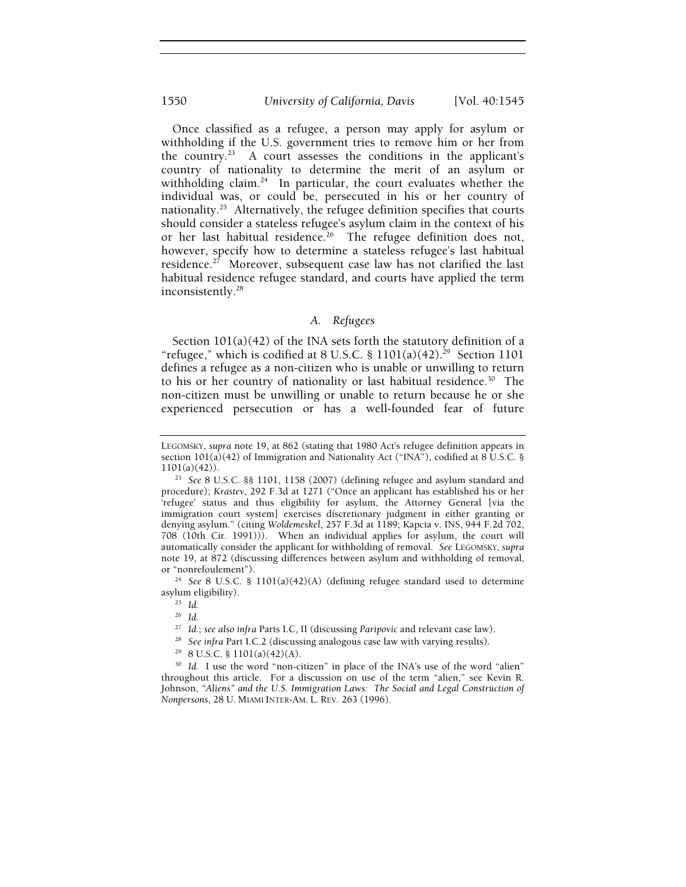# 1550 *University of California, Davis* [Vol. 40:1545

Once classified as a refugee, a person may apply for asylum or withholding if the U.S. government tries to remove him or her from the country.23 A court assesses the conditions in the applicant's country of nationality to determine the merit of an asylum or withholding claim.<sup>24</sup> In particular, the court evaluates whether the individual was, or could be, persecuted in his or her country of nationality.25 Alternatively, the refugee definition specifies that courts should consider a stateless refugee's asylum claim in the context of his or her last habitual residence.<sup>26</sup> The refugee definition does not, however, specify how to determine a stateless refugee's last habitual residence.<sup>27</sup> Moreover, subsequent case law has not clarified the last habitual residence refugee standard, and courts have applied the term inconsistently.28

# *A. Refugees*

Section 101(a)(42) of the INA sets forth the statutory definition of a "refugee," which is codified at 8 U.S.C. §  $1101(a)(42).^{29}$  Section 1101 defines a refugee as a non-citizen who is unable or unwilling to return to his or her country of nationality or last habitual residence.<sup>30</sup> The non-citizen must be unwilling or unable to return because he or she experienced persecution or has a well-founded fear of future

or "nonrefoulement"). 24 *See* 8 U.S.C. § 1101(a)(42)(A) (defining refugee standard used to determine asylum eligibility). 25 *Id.*

- <sup>28</sup> See infra Part I.C.2 (discussing analogous case law with varying results).<br><sup>29</sup> 8 U.S.C. § 1101(a)(42)(A).
- 

<sup>30</sup> Id. I use the word "non-citizen" in place of the INA's use of the word "alien" throughout this article. For a discussion on use of the term "alien," see Kevin R. Johnson, *"Aliens" and the U.S. Immigration Laws: The Social and Legal Construction of Nonpersons*, 28 U. MIAMI INTER-AM. L. REV. 263 (1996).

LEGOMSKY, *supra* note 19, at 862 (stating that 1980 Act's refugee definition appears in section  $101(a)(42)$  of Immigration and Nationality Act ("INA"), codified at 8 U.S.C. § 1101(a)(42)). 23 *See* 8 U.S.C. §§ 1101, 1158 (2007) (defining refugee and asylum standard and

procedure); *Krastev*, 292 F.3d at 1271 ("Once an applicant has established his or her 'refugee' status and thus eligibility for asylum, the Attorney General [via the immigration court system] exercises discretionary judgment in either granting or denying asylum." (citing *Woldemeskel*, 257 F.3d at 1189; Kapcia v. INS, 944 F.2d 702, 708 (10th Cir. 1991))). When an individual applies for asylum, the court will automatically consider the applicant for withholding of removal. *See* LEGOMSKY, *supra* note 19, at 872 (discussing differences between asylum and withholding of removal,

<sup>&</sup>lt;sup>26</sup> Id.<br><sup>27</sup> Id.; see also infra Parts I.C, II (discussing Paripovic and relevant case law).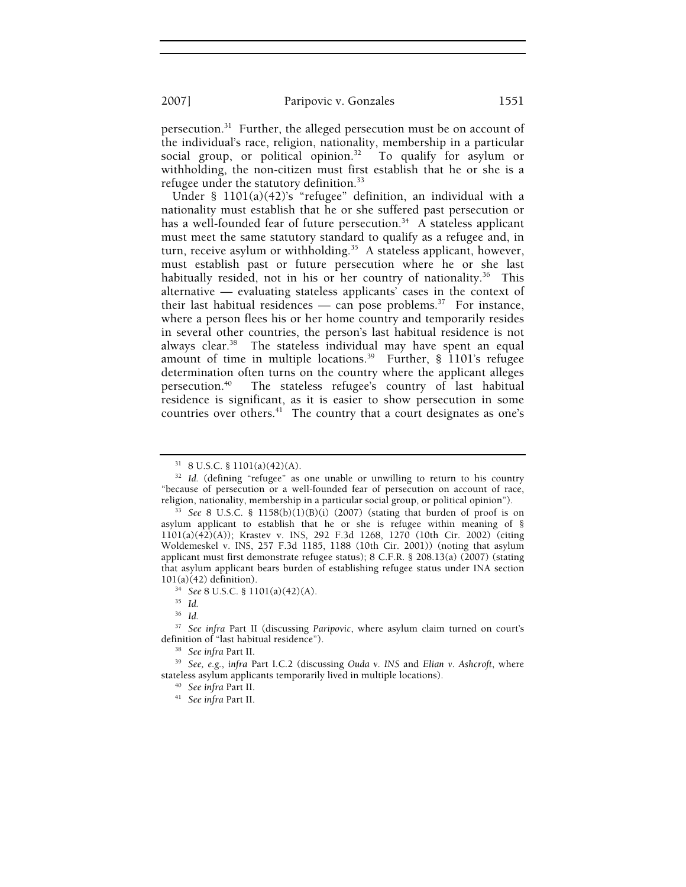2007] Paripovic v. Gonzales 1551

persecution.<sup>31</sup> Further, the alleged persecution must be on account of the individual's race, religion, nationality, membership in a particular social group, or political opinion.<sup>32</sup> To qualify for asylum or withholding, the non-citizen must first establish that he or she is a refugee under the statutory definition.33

Under § 1101(a)(42)'s "refugee" definition, an individual with a nationality must establish that he or she suffered past persecution or has a well-founded fear of future persecution.<sup>34</sup> A stateless applicant must meet the same statutory standard to qualify as a refugee and, in turn, receive asylum or withholding.<sup>35</sup> A stateless applicant, however, must establish past or future persecution where he or she last habitually resided, not in his or her country of nationality.<sup>36</sup> This alternative — evaluating stateless applicants' cases in the context of their last habitual residences — can pose problems.<sup>37</sup> For instance, where a person flees his or her home country and temporarily resides in several other countries, the person's last habitual residence is not always clear.<sup>38</sup> The stateless individual may have spent an equal amount of time in multiple locations.39 Further, § 1101's refugee determination often turns on the country where the applicant alleges<br>persecution.<sup>40</sup> The stateless refugee's country of last habitual The stateless refugee's country of last habitual residence is significant, as it is easier to show persecution in some countries over others.<sup>41</sup> The country that a court designates as one's

<sup>36</sup> *Id.*

<sup>31 8</sup> U.S.C. § 1101(a)(42)(A).

<sup>&</sup>lt;sup>32</sup> Id. (defining "refugee" as one unable or unwilling to return to his country "because of persecution or a well-founded fear of persecution on account of race,

 $33$  See 8 U.S.C. § 1158(b)(1)(B)(i) (2007) (stating that burden of proof is on asylum applicant to establish that he or she is refugee within meaning of § 1101(a)(42)(A)); Krastev v. INS, 292 F.3d 1268, 1270 (10th Cir. 2002) (citing Woldemeskel v. INS, 257 F.3d 1185, 1188 (10th Cir. 2001)) (noting that asylum applicant must first demonstrate refugee status); 8 C.F.R. § 208.13(a) (2007) (stating that asylum applicant bears burden of establishing refugee status under INA section  $101(a)(42)$  definition).

<sup>101(</sup>a)(42) definition). 34 *See* 8 U.S.C. § 1101(a)(42)(A). 35 *Id.*

<sup>&</sup>lt;sup>37</sup> See infra Part II (discussing *Paripovic*, where asylum claim turned on court's definition of "last habitual residence").

<sup>&</sup>lt;sup>38</sup> See infra Part II.<br><sup>39</sup> See, e.g., *infra* Part I.C.2 (discussing *Ouda v. INS* and *Elian v. Ashcroft*, where stateless asylum applicants temporarily lived in multiple locations). 40 *See infra* Part II. 41 *See infra* Part II.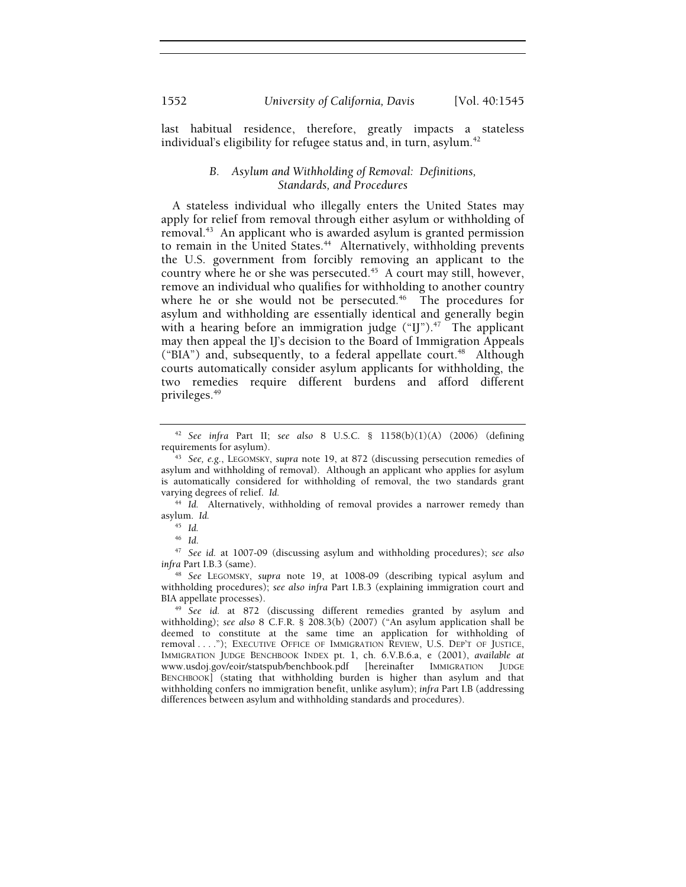last habitual residence, therefore, greatly impacts a stateless individual's eligibility for refugee status and, in turn, asylum.<sup>42</sup>

# *B. Asylum and Withholding of Removal: Definitions, Standards, and Procedures*

A stateless individual who illegally enters the United States may apply for relief from removal through either asylum or withholding of removal.43 An applicant who is awarded asylum is granted permission to remain in the United States.<sup>44</sup> Alternatively, withholding prevents the U.S. government from forcibly removing an applicant to the country where he or she was persecuted.<sup>45</sup> A court may still, however, remove an individual who qualifies for withholding to another country where he or she would not be persecuted.<sup> $46$ </sup> The procedures for asylum and withholding are essentially identical and generally begin with a hearing before an immigration judge  $("IJ")$ .<sup>47</sup> The applicant may then appeal the IJ's decision to the Board of Immigration Appeals ("BIA") and, subsequently, to a federal appellate court.<sup>48</sup> Although courts automatically consider asylum applicants for withholding, the two remedies require different burdens and afford different privileges.49

<sup>46</sup> *Id*. 47 *See id.* at 1007-09 (discussing asylum and withholding procedures); *see also infra* Part I.B.3 (same).

<sup>42</sup> *See infra* Part II; *see also* 8 U.S.C. § 1158(b)(1)(A) (2006) (defining

<sup>&</sup>lt;sup>43</sup> See, e.g., LEGOMSKY, *supra* note 19, at 872 (discussing persecution remedies of asylum and withholding of removal). Although an applicant who applies for asylum is automatically considered for withholding of removal, the two standards grant varying degrees of relief. *Id.*

<sup>44</sup> *Id.* Alternatively, withholding of removal provides a narrower remedy than asylum. *Id.*

<sup>45</sup> *Id.*

<sup>48</sup> *See* LEGOMSKY, *supra* note 19, at 1008-09 (describing typical asylum and withholding procedures); *see also infra* Part I.B.3 (explaining immigration court and BIA appellate processes). 49 *See id.* at 872 (discussing different remedies granted by asylum and

withholding); *see also* 8 C.F.R. § 208.3(b) (2007) ("An asylum application shall be deemed to constitute at the same time an application for withholding of removal . . . ."); EXECUTIVE OFFICE OF IMMIGRATION REVIEW, U.S. DEP'T OF JUSTICE, IMMIGRATION JUDGE BENCHBOOK INDEX pt. 1, ch. 6.V.B.6.a, e (2001), *available at* www.usdoj.gov/eoir/statspub/benchbook.pdf [hereinafter IMMIGRATION JUDGE BENCHBOOK] (stating that withholding burden is higher than asylum and that withholding confers no immigration benefit, unlike asylum); *infra* Part I.B (addressing differences between asylum and withholding standards and procedures).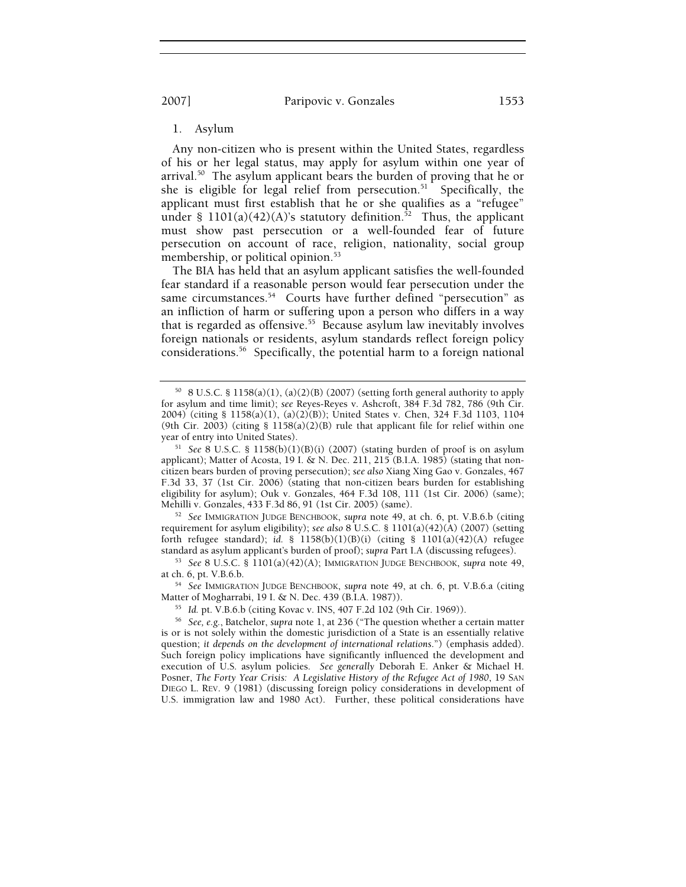2007] Paripovic v. Gonzales 1553

1. Asylum

Any non-citizen who is present within the United States, regardless of his or her legal status, may apply for asylum within one year of arrival.<sup>50</sup> The asylum applicant bears the burden of proving that he or she is eligible for legal relief from persecution.<sup>51</sup> Specifically, the applicant must first establish that he or she qualifies as a "refugee" under § 1101(a)(42)(A)'s statutory definition.<sup>52</sup> Thus, the applicant must show past persecution or a well-founded fear of future persecution on account of race, religion, nationality, social group membership, or political opinion.<sup>53</sup>

The BIA has held that an asylum applicant satisfies the well-founded fear standard if a reasonable person would fear persecution under the same circumstances.<sup>54</sup> Courts have further defined "persecution" as an infliction of harm or suffering upon a person who differs in a way that is regarded as offensive.<sup>55</sup> Because asylum law inevitably involves foreign nationals or residents, asylum standards reflect foreign policy considerations.56 Specifically, the potential harm to a foreign national

Mehilli v. Gonzales, 433 F.3d 86, 91 (1st Cir. 2005) (same). 52 *See* IMMIGRATION JUDGE BENCHBOOK, *supra* note 49, at ch. 6, pt. V.B.6.b (citing requirement for asylum eligibility); *see also* 8 U.S.C. § 1101(a)(42)(A) (2007) (setting forth refugee standard); *id.* § 1158(b)(1)(B)(i) (citing § 1101(a)(42)(A) refugee standard as asylum applicant's burden of proof); *supra* Part I.A (discussing refugees).

 $50$  8 U.S.C. § 1158(a)(1), (a)(2)(B) (2007) (setting forth general authority to apply for asylum and time limit); *see* Reyes-Reyes v. Ashcroft, 384 F.3d 782, 786 (9th Cir. 2004) (citing § 1158(a)(1), (a)(2)(B)); United States v. Chen, 324 F.3d 1103, 1104 (9th Cir. 2003) (citing  $\S$  1158(a)(2)(B) rule that applicant file for relief within one year of entry into United States).<br><sup>51</sup> See 8 U.S.C. § 1158(b)(1)(B)(i) (2007) (stating burden of proof is on asylum

applicant); Matter of Acosta, 19 I. & N. Dec. 211, 215 (B.I.A. 1985) (stating that noncitizen bears burden of proving persecution); *see also* Xiang Xing Gao v. Gonzales, 467 F.3d 33, 37 (1st Cir. 2006) (stating that non-citizen bears burden for establishing eligibility for asylum); Ouk v. Gonzales, 464 F.3d 108, 111 (1st Cir. 2006) (same);

<sup>&</sup>lt;sup>53</sup> See 8 U.S.C. § 1101(a)(42)(A); IMMIGRATION JUDGE BENCHBOOK, *supra* note 49, at ch. 6, pt. V.B.6.b.

<sup>&</sup>lt;sup>54</sup> See IMMIGRATION JUDGE BENCHBOOK, *supra* note 49, at ch. 6, pt. V.B.6.a (citing Matter of Mogharrabi, 19 I. & N. Dec. 439 (B.I.A. 1987)).

<sup>&</sup>lt;sup>55</sup> Id. pt. V.B.6.b (citing Kovac v. INS, 407 F.2d 102 (9th Cir. 1969)).<br><sup>56</sup> See, e.g., Batchelor, supra note 1, at 236 ("The question whether a certain matter is or is not solely within the domestic jurisdiction of a State is an essentially relative question; *it depends on the development of international relations*.") (emphasis added). Such foreign policy implications have significantly influenced the development and execution of U.S. asylum policies. *See generally* Deborah E. Anker & Michael H. Posner, *The Forty Year Crisis: A Legislative History of the Refugee Act of 1980*, 19 SAN DIEGO L. REV. 9 (1981) (discussing foreign policy considerations in development of U.S. immigration law and 1980 Act). Further, these political considerations have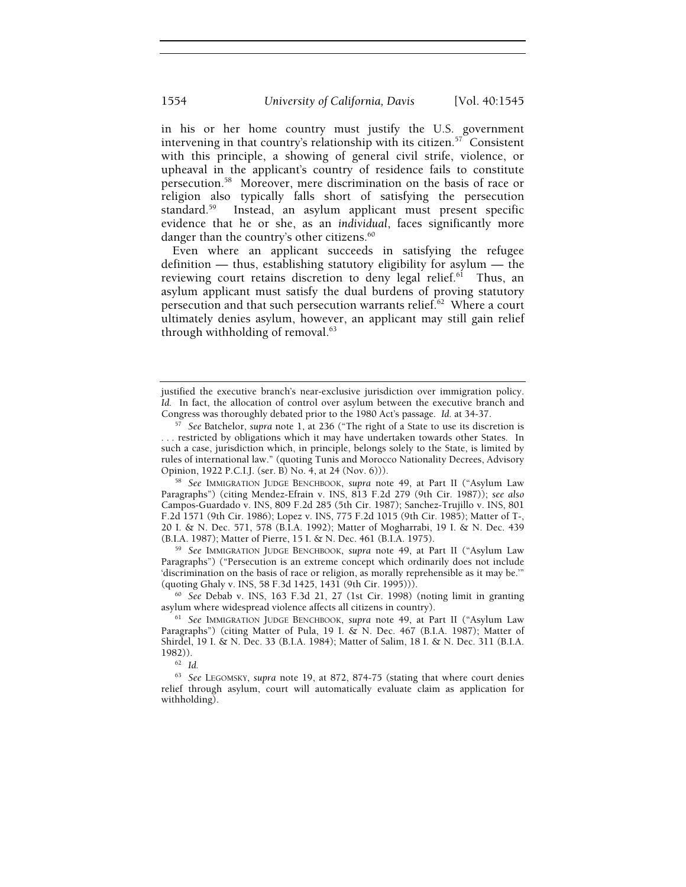in his or her home country must justify the U.S. government intervening in that country's relationship with its citizen.<sup>57</sup> Consistent with this principle, a showing of general civil strife, violence, or upheaval in the applicant's country of residence fails to constitute persecution.58 Moreover, mere discrimination on the basis of race or religion also typically falls short of satisfying the persecution standard.59 Instead, an asylum applicant must present specific evidence that he or she, as an *individual*, faces significantly more danger than the country's other citizens.<sup>60</sup>

Even where an applicant succeeds in satisfying the refugee definition — thus, establishing statutory eligibility for asylum — the reviewing court retains discretion to deny legal relief.<sup>61</sup> Thus, an asylum applicant must satisfy the dual burdens of proving statutory persecution and that such persecution warrants relief. $62$  Where a court ultimately denies asylum, however, an applicant may still gain relief through withholding of removal.<sup>63</sup>

<sup>58</sup> See IMMIGRATION JUDGE BENCHBOOK, *supra* note 49, at Part II ("Asylum Law Paragraphs") (citing Mendez-Efrain v. INS, 813 F.2d 279 (9th Cir. 1987)); *see also*  Campos-Guardado v. INS, 809 F.2d 285 (5th Cir. 1987); Sanchez-Trujillo v. INS, 801 F.2d 1571 (9th Cir. 1986); Lopez v. INS, 775 F.2d 1015 (9th Cir. 1985); Matter of T-, 20 I. & N. Dec. 571, 578 (B.I.A. 1992); Matter of Mogharrabi, 19 I. & N. Dec. 439 (B.I.A. 1987); Matter of Pierre, 15 I. & N. Dec. 461 (B.I.A. 1975). 59 *See* IMMIGRATION JUDGE BENCHBOOK, *supra* note 49, at Part II ("Asylum Law

Paragraphs") ("Persecution is an extreme concept which ordinarily does not include 'discrimination on the basis of race or religion, as morally reprehensible as it may be.'"

<sup>60</sup> See Debab v. INS, 163 F.3d 21, 27 (1st Cir. 1998) (noting limit in granting asylum where widespread violence affects all citizens in country). 61 *See* IMMIGRATION JUDGE BENCHBOOK, *supra* note 49, at Part II ("Asylum Law

justified the executive branch's near-exclusive jurisdiction over immigration policy. *Id.* In fact, the allocation of control over asylum between the executive branch and Congress was thoroughly debated prior to the 1980 Act's passage. *Id.* at 34-37. 57 *See* Batchelor, *supra* note 1, at 236 ("The right of a State to use its discretion is

<sup>. . .</sup> restricted by obligations which it may have undertaken towards other States. In such a case, jurisdiction which, in principle, belongs solely to the State, is limited by rules of international law." (quoting Tunis and Morocco Nationality Decrees, Advisory

Paragraphs") (citing Matter of Pula, 19 I. & N. Dec. 467 (B.I.A. 1987); Matter of Shirdel, 19 I. & N. Dec. 33 (B.I.A. 1984); Matter of Salim, 18 I. & N. Dec. 311 (B.I.A.

<sup>1982)). 62</sup> *Id.*

<sup>63</sup> *See* LEGOMSKY, *supra* note 19, at 872, 874-75 (stating that where court denies relief through asylum, court will automatically evaluate claim as application for withholding).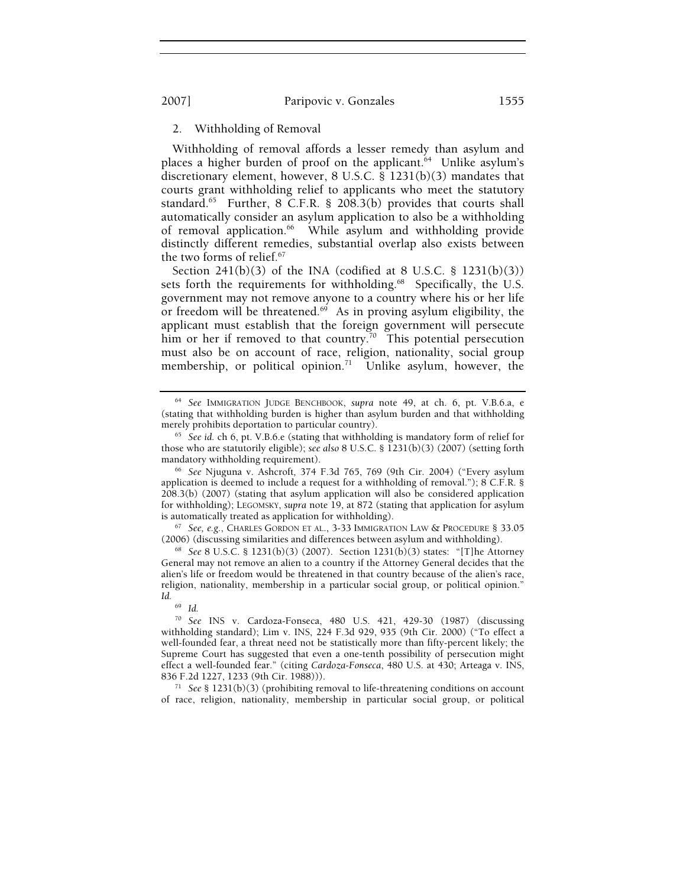# 2. Withholding of Removal

Withholding of removal affords a lesser remedy than asylum and places a higher burden of proof on the applicant.<sup>64</sup> Unlike asylum's discretionary element, however, 8 U.S.C. § 1231(b)(3) mandates that courts grant withholding relief to applicants who meet the statutory standard.<sup>65</sup> Further, 8 C.F.R. § 208.3(b) provides that courts shall automatically consider an asylum application to also be a withholding of removal application.<sup>66</sup> While asylum and withholding provide distinctly different remedies, substantial overlap also exists between the two forms of relief.67

Section  $241(b)(3)$  of the INA (codified at 8 U.S.C. § 1231(b)(3)) sets forth the requirements for withholding.<sup>68</sup> Specifically, the U.S. government may not remove anyone to a country where his or her life or freedom will be threatened. $69$  As in proving asylum eligibility, the applicant must establish that the foreign government will persecute him or her if removed to that country.<sup>70</sup> This potential persecution must also be on account of race, religion, nationality, social group membership, or political opinion.<sup>71</sup> Unlike asylum, however, the

<sup>67</sup> See, e.g., CHARLES GORDON ET AL., 3-33 IMMIGRATION LAW & PROCEDURE § 33.05<sup></sup> (2006) (discussing similarities and differences between asylum and withholding).

<sup>68</sup> See 8 U.S.C. § 1231(b)(3) (2007). Section 1231(b)(3) states: "[T]he Attorney General may not remove an alien to a country if the Attorney General decides that the alien's life or freedom would be threatened in that country because of the alien's race, religion, nationality, membership in a particular social group, or political opinion." *Id.*

<sup>69</sup> *Id.*

<sup>71</sup> See § 1231(b)(3) (prohibiting removal to life-threatening conditions on account of race, religion, nationality, membership in particular social group, or political

<sup>64</sup> *See* IMMIGRATION JUDGE BENCHBOOK, *supra* note 49, at ch. 6, pt. V.B.6.a, e (stating that withholding burden is higher than asylum burden and that withholding merely prohibits deportation to particular country). 65 *See id.* ch 6, pt. V.B.6.e (stating that withholding is mandatory form of relief for

those who are statutorily eligible); *see also* 8 U.S.C. § 1231(b)(3) (2007) (setting forth mandatory withholding requirement). 66 *See* Njuguna v. Ashcroft*,* 374 F.3d 765, 769 (9th Cir. 2004) ("Every asylum

application is deemed to include a request for a withholding of removal."); 8 C.F.R. § 208.3(b) (2007) (stating that asylum application will also be considered application for withholding); LEGOMSKY, *supra* note 19, at 872 (stating that application for asylum

<sup>70</sup> *See* INS v. Cardoza-Fonseca, 480 U.S. 421, 429-30 (1987) (discussing withholding standard); Lim v. INS, 224 F.3d 929, 935 (9th Cir. 2000) ("To effect a well-founded fear, a threat need not be statistically more than fifty-percent likely; the Supreme Court has suggested that even a one-tenth possibility of persecution might effect a well-founded fear." (citing *Cardoza-Fonseca*, 480 U.S. at 430; Arteaga v. INS,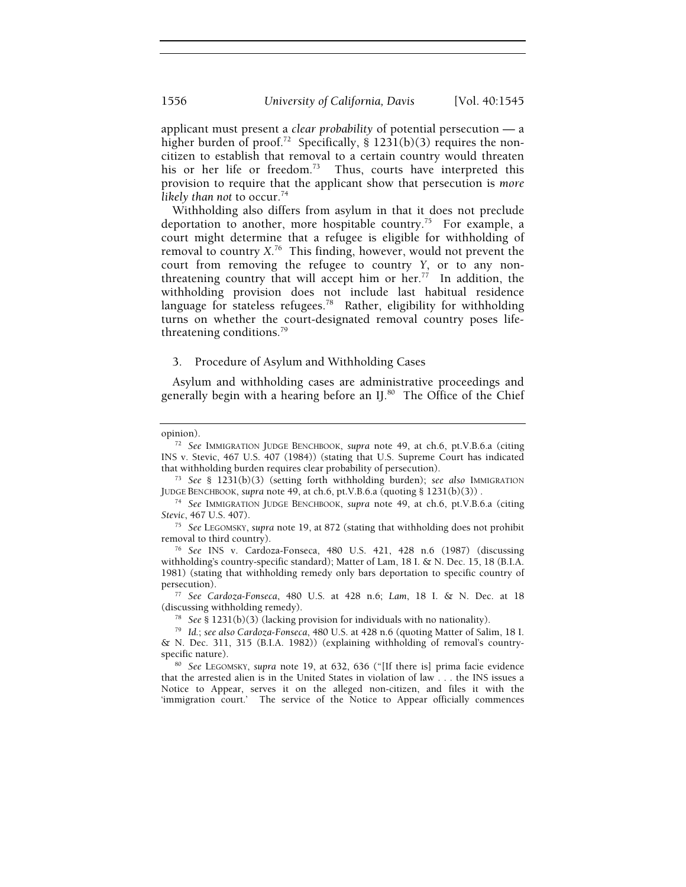applicant must present a *clear probability* of potential persecution — a higher burden of proof.<sup>72</sup> Specifically, § 1231(b)(3) requires the noncitizen to establish that removal to a certain country would threaten his or her life or freedom.<sup>73</sup> Thus, courts have interpreted this provision to require that the applicant show that persecution is *more*  likely than not to occur.<sup>74</sup>

Withholding also differs from asylum in that it does not preclude deportation to another, more hospitable country.<sup>75</sup> For example, a court might determine that a refugee is eligible for withholding of removal to country *X*. 76 This finding, however, would not prevent the court from removing the refugee to country *Y*, or to any nonthreatening country that will accept him or her. $\frac{1}{77}$  In addition, the withholding provision does not include last habitual residence language for stateless refugees.<sup>78</sup> Rather, eligibility for withholding turns on whether the court-designated removal country poses lifethreatening conditions.<sup>79</sup>

#### 3. Procedure of Asylum and Withholding Cases

Asylum and withholding cases are administrative proceedings and generally begin with a hearing before an IJ.<sup>80</sup> The Office of the Chief

opinion). 72 *See* IMMIGRATION JUDGE BENCHBOOK, *supra* note 49, at ch.6, pt.V.B.6.a (citing INS v. Stevic, 467 U.S. 407 (1984)) (stating that U.S. Supreme Court has indicated

<sup>&</sup>lt;sup>73</sup> See § 1231(b)(3) (setting forth withholding burden); *see also* IMMIGRATION JUDGE BENCHBOOK, *supra* note 49, at ch.6, pt.V.B.6.a (quoting § 1231(b)(3)).

<sup>&</sup>lt;sup>74</sup> See IMMIGRATION JUDGE BENCHBOOK, *supra* note 49, at ch.6, pt.V.B.6.a (citing *Stevic*, 467 U.S. 407). 75 *See* LEGOMSKY, *supra* note 19, at 872 (stating that withholding does not prohibit

removal to third country). 76 *See* INS v. Cardoza-Fonseca, 480 U.S. 421, 428 n.6 (1987) (discussing

withholding's country-specific standard); Matter of Lam, 18 I. & N. Dec. 15, 18 (B.I.A. 1981) (stating that withholding remedy only bars deportation to specific country of

persecution). 77 *See Cardoza-Fonseca*, 480 U.S. at 428 n.6; *Lam*, 18 I. & N. Dec. at 18

<sup>(</sup>discussing withholding remedy). 78 *See* § 1231(b)(3) (lacking provision for individuals with no nationality). 79 *Id.*; *see also Cardoza-Fonseca*, 480 U.S. at 428 n.6 (quoting Matter of Salim, 18 I. & N. Dec. 311, 315 (B.I.A. 1982)) (explaining withholding of removal's country-

<sup>&</sup>lt;sup>80</sup> See LEGOMSKY, *supra* note 19, at 632, 636 ("[If there is] prima facie evidence that the arrested alien is in the United States in violation of law . . . the INS issues a Notice to Appear, serves it on the alleged non-citizen, and files it with the 'immigration court.' The service of the Notice to Appear officially commences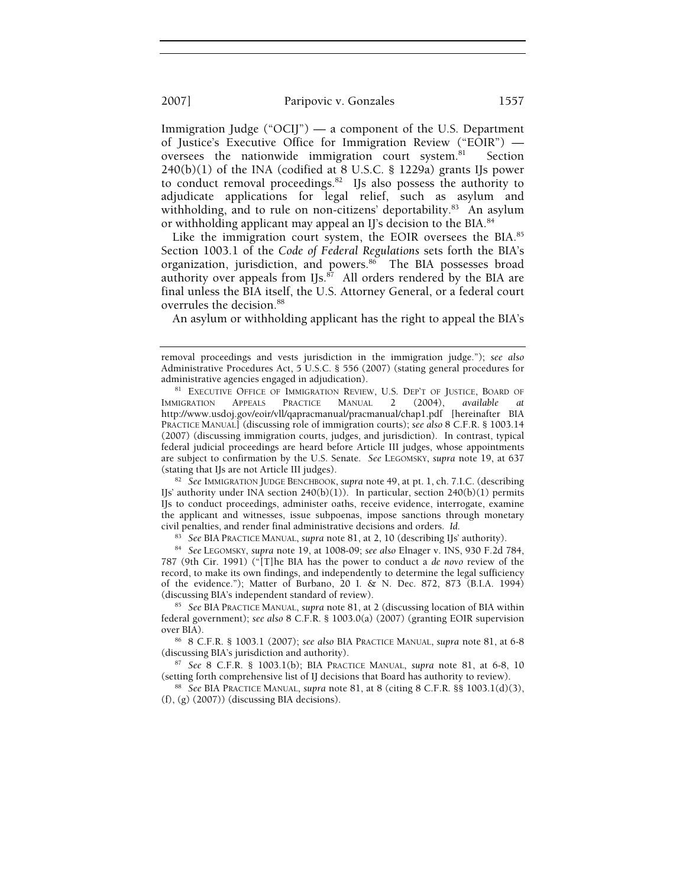Immigration Judge ("OCIJ") — a component of the U.S. Department of Justice's Executive Office for Immigration Review ("EOIR") oversees the nationwide immigration court system.<sup>81</sup> Section  $240(b)(1)$  of the INA (codified at 8 U.S.C. § 1229a) grants IJs power to conduct removal proceedings.<sup>82</sup> IJs also possess the authority to adjudicate applications for legal relief, such as asylum and withholding, and to rule on non-citizens' deportability.<sup>83</sup> An asylum or withholding applicant may appeal an IJ's decision to the BIA.<sup>84</sup>

Like the immigration court system, the EOIR oversees the BIA.<sup>85</sup> Section 1003.1 of the *Code of Federal Regulations* sets forth the BIA's organization, jurisdiction, and powers.<sup>86</sup> The BIA possesses broad authority over appeals from IJs. $\frac{87}{7}$  All orders rendered by the BIA are final unless the BIA itself, the U.S. Attorney General, or a federal court overrules the decision.<sup>88</sup>

An asylum or withholding applicant has the right to appeal the BIA's

IJs' authority under INA section 240(b)(1)). In particular, section 240(b)(1) permits IJs to conduct proceedings, administer oaths, receive evidence, interrogate, examine the applicant and witnesses, issue subpoenas, impose sanctions through monetary civil penalties, and render final administrative decisions and orders. *Id.*

<sup>83</sup> *See* BIA PRACTICE MANUAL, *supra* note 81, at 2, 10 (describing IJs' authority). 84 *See* LEGOMSKY, *supra* note 19, at 1008-09; *see also* Elnager v. INS, 930 F.2d 784,

787 (9th Cir. 1991) ("[T]he BIA has the power to conduct a *de novo* review of the record, to make its own findings, and independently to determine the legal sufficiency of the evidence."); Matter of Burbano, 20 I. & N. Dec. 872, 873 (B.I.A. 1994) (discussing BIA's independent standard of review).

<sup>85</sup> See BIA PRACTICE MANUAL, *supra* note 81, at 2 (discussing location of BIA within federal government); *see also* 8 C.F.R. § 1003.0(a) (2007) (granting EOIR supervision

over BIA).<br><sup>86</sup> 8 C.F.R. § 1003.1 (2007); *see also* BIA PRACTICE MANUAL, *supra* note 81, at 6-8 (discussing BIA's jurisdiction and authority).

(discussing BIA's jurisdiction and authority). 87 *See* 8 C.F.R. § 1003.1(b); BIA PRACTICE MANUAL, *supra* note 81, at 6-8, 10 (setting forth comprehensive list of IJ decisions that Board has authority to review). 88 *See* BIA PRACTICE MANUAL, *supra* note 81, at 8 (citing 8 C.F.R. §§ 1003.1(d)(3),

(f), (g) (2007)) (discussing BIA decisions).

removal proceedings and vests jurisdiction in the immigration judge."); *see also* Administrative Procedures Act, 5 U.S.C. § 556 (2007) (stating general procedures for

administrative agencies engaged in adjudication).<br><sup>81</sup> EXECUTIVE OFFICE OF IMMIGRATION REVIEW, U.S. DEP'T OF JUSTICE, BOARD OF<br>IMMIGRATION APPEALS PRACTICE MANUAL 2 (2004), available at IMMIGRATION APPEALS PRACTICE MANUAL 2 (2004), *available at* http://www.usdoj.gov/eoir/vll/qapracmanual/pracmanual/chap1.pdf [hereinafter BIA PRACTICE MANUAL] (discussing role of immigration courts); *see also* 8 C.F.R. § 1003.14 (2007) (discussing immigration courts, judges, and jurisdiction). In contrast, typical federal judicial proceedings are heard before Article III judges, whose appointments are subject to confirmation by the U.S. Senate. *See* LEGOMSKY, *supra* note 19, at 637 (stating that IJs are not Article III judges). 82 *See* IMMIGRATION JUDGE BENCHBOOK, *supra* note 49, at pt. 1, ch. 7.I.C. (describing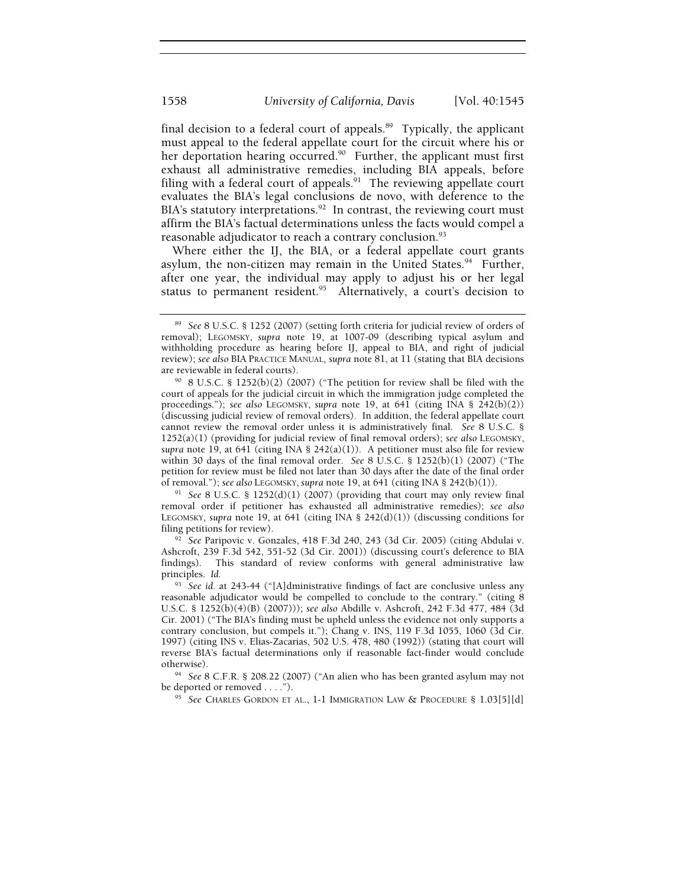final decision to a federal court of appeals. $89$  Typically, the applicant must appeal to the federal appellate court for the circuit where his or her deportation hearing occurred.<sup>90</sup> Further, the applicant must first exhaust all administrative remedies, including BIA appeals, before filing with a federal court of appeals. $91$  The reviewing appellate court evaluates the BIA's legal conclusions de novo, with deference to the BIA's statutory interpretations.<sup>92</sup> In contrast, the reviewing court must affirm the BIA's factual determinations unless the facts would compel a reasonable adjudicator to reach a contrary conclusion.<sup>93</sup>

Where either the IJ, the BIA, or a federal appellate court grants asylum, the non-citizen may remain in the United States.<sup>94</sup> Further, after one year, the individual may apply to adjust his or her legal status to permanent resident.<sup>95</sup> Alternatively, a court's decision to

of removal."); *see also* LEGOMSKY, *supra* note 19, at 641 (citing INA § 242(b)(1)). 91 *See* 8 U.S.C. § 1252(d)(1) (2007) (providing that court may only review final removal order if petitioner has exhausted all administrative remedies); *see also* LEGOMSKY, *supra* note 19, at 641 (citing INA § 242(d)(1)) (discussing conditions for filing petitions for review). 92 *See* Paripovic v. Gonzales, 418 F.3d 240, 243 (3d Cir. 2005) (citing Abdulai v.

Ashcroft, 239 F.3d 542, 551-52 (3d Cir. 2001)) (discussing court's deference to BIA findings). This standard of review conforms with general administrative law principles. *Id.*

<sup>93</sup> *See id.* at 243-44 ("[A]dministrative findings of fact are conclusive unless any reasonable adjudicator would be compelled to conclude to the contrary." (citing 8 U.S.C. § 1252(b)(4)(B) (2007))); *see also* Abdille v. Ashcroft, 242 F.3d 477, 484 (3d Cir. 2001) ("The BIA's finding must be upheld unless the evidence not only supports a contrary conclusion, but compels it."); Chang v. INS, 119 F.3d 1055, 1060 (3d Cir. 1997) (citing INS v. Elias-Zacarias, 502 U.S. 478, 480 (1992)) (stating that court will reverse BIA's factual determinations only if reasonable fact-finder would conclude

otherwise). 94 *See* 8 C.F.R. § 208.22 (2007) ("An alien who has been granted asylum may not be deported or removed . . . ."). 95 *See* CHARLES GORDON ET AL., 1-1 IMMIGRATION LAW & PROCEDURE § 1.03[5][d]

<sup>89</sup> *See* 8 U.S.C. § 1252 (2007) (setting forth criteria for judicial review of orders of removal); LEGOMSKY, *supra* note 19, at 1007-09 (describing typical asylum and withholding procedure as hearing before IJ, appeal to BIA, and right of judicial review); *see also* BIA PRACTICE MANUAL, *supra* note 81, at 11 (stating that BIA decisions

are reviewable in federal courts).<br><sup>90</sup> 8 U.S.C. § 1252(b)(2) (2007) ("The petition for review shall be filed with the court of appeals for the judicial circuit in which the immigration judge completed the proceedings."); *see also* LEGOMSKY, *supra* note 19, at 641 (citing INA § 242(b)(2)) (discussing judicial review of removal orders). In addition, the federal appellate court cannot review the removal order unless it is administratively final. *See* 8 U.S.C. § 1252(a)(1) (providing for judicial review of final removal orders); *see also* LEGOMSKY, *supra* note 19, at 641 (citing INA §  $242(a)(1)$ ). A petitioner must also file for review within 30 days of the final removal order. *See* 8 U.S.C. § 1252(b)(1) (2007) ("The petition for review must be filed not later than 30 days after the date of the final order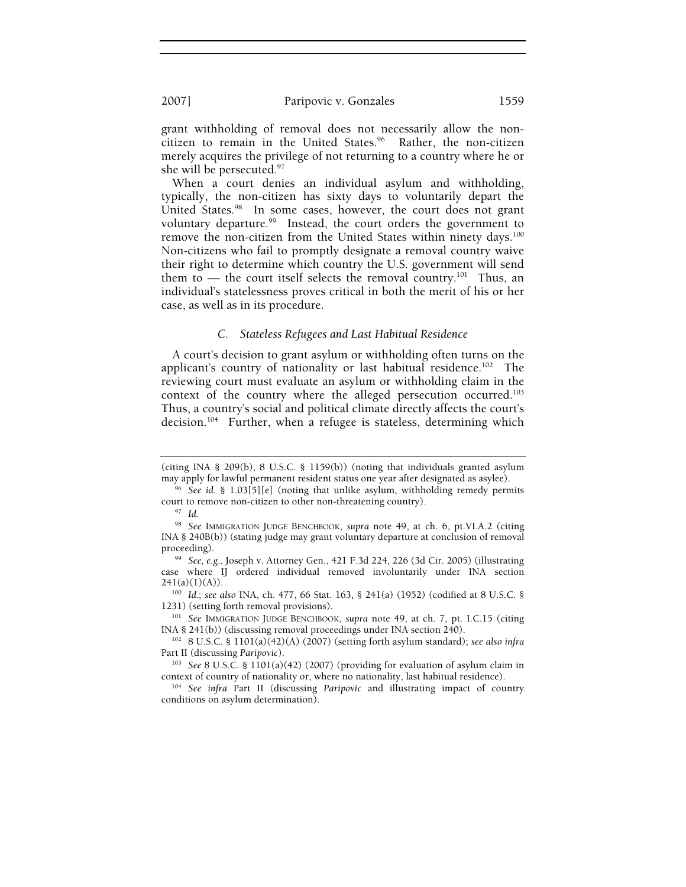grant withholding of removal does not necessarily allow the noncitizen to remain in the United States. $96$  Rather, the non-citizen merely acquires the privilege of not returning to a country where he or she will be persecuted.<sup>97</sup>

When a court denies an individual asylum and withholding, typically, the non-citizen has sixty days to voluntarily depart the United States.<sup>98</sup> In some cases, however, the court does not grant voluntary departure.<sup>99</sup> Instead, the court orders the government to remove the non-citizen from the United States within ninety days.<sup>100</sup> Non-citizens who fail to promptly designate a removal country waive their right to determine which country the U.S. government will send them to - the court itself selects the removal country.<sup>101</sup> Thus, an individual's statelessness proves critical in both the merit of his or her case, as well as in its procedure.

### *C. Stateless Refugees and Last Habitual Residence*

A court's decision to grant asylum or withholding often turns on the applicant's country of nationality or last habitual residence.<sup>102</sup> The reviewing court must evaluate an asylum or withholding claim in the context of the country where the alleged persecution occurred.103 Thus, a country's social and political climate directly affects the court's decision.<sup>104</sup> Further, when a refugee is stateless, determining which

<sup>(</sup>citing INA § 209(b), 8 U.S.C. § 1159(b)) (noting that individuals granted asylum

<sup>&</sup>lt;sup>96</sup> See *id.* § 1.03[5][e] (noting that unlike asylum, withholding remedy permits court to remove non-citizen to other non-threatening country). 97 *Id.*

<sup>98</sup> *See* IMMIGRATION JUDGE BENCHBOOK, *supra* note 49, at ch. 6, pt.VI.A.2 (citing INA § 240B(b)) (stating judge may grant voluntary departure at conclusion of removal proceeding). 99 *See, e.g.*, Joseph v. Attorney Gen., 421 F.3d 224, 226 (3d Cir. 2005) (illustrating

case where IJ ordered individual removed involuntarily under INA section

<sup>241(</sup>a)(1)(A)). 100 *Id.*; *see also* INA, ch. 477, 66 Stat. 163, § 241(a) (1952) (codified at 8 U.S.C. §

<sup>&</sup>lt;sup>101</sup> See IMMIGRATION JUDGE BENCHBOOK, *supra* note 49, at ch. 7, pt. I.C.15 (citing INA § 241(b)) (discussing removal proceedings under INA section 240).

<sup>&</sup>lt;sup>102</sup> 8 U.S.C. § 1101(a)(42)(A) (2007) (setting forth asylum standard); *see also infra* Part II (discussing *Paripovic*).

<sup>&</sup>lt;sup>103</sup> See 8 U.S.C. § 1101(a)(42) (2007) (providing for evaluation of asylum claim in context of country of nationality or, where no nationality, last habitual residence). 104 *See infra* Part II (discussing *Paripovic* and illustrating impact of country

conditions on asylum determination).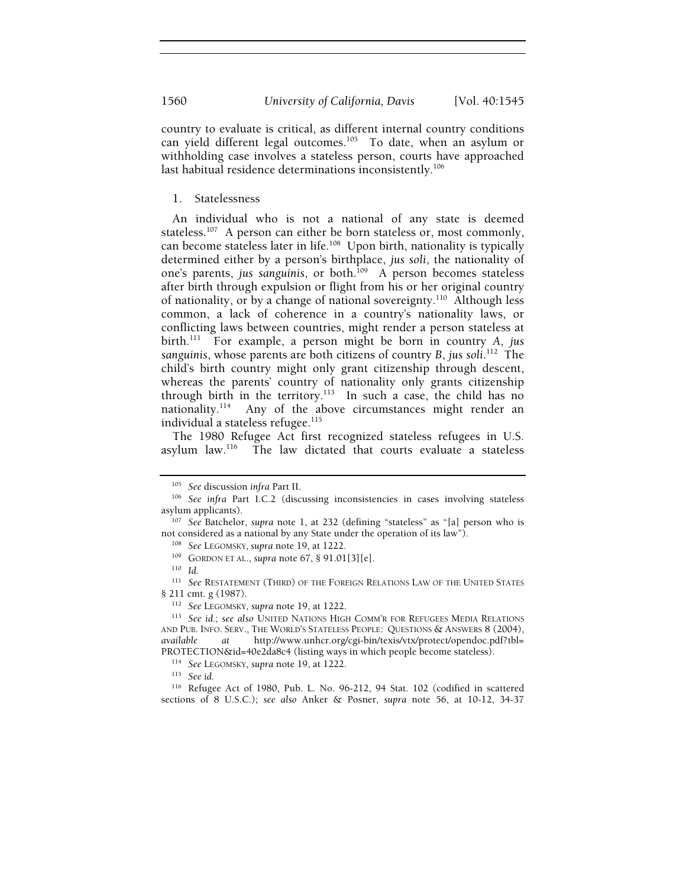country to evaluate is critical, as different internal country conditions can yield different legal outcomes.<sup>105</sup> To date, when an asylum or withholding case involves a stateless person, courts have approached last habitual residence determinations inconsistently.<sup>106</sup>

# 1. Statelessness

An individual who is not a national of any state is deemed stateless.<sup>107</sup> A person can either be born stateless or, most commonly, can become stateless later in life.<sup>108</sup> Upon birth, nationality is typically determined either by a person's birthplace, *jus soli*, the nationality of one's parents, *jus sanguinis*, or both.<sup>109</sup> A person becomes stateless after birth through expulsion or flight from his or her original country of nationality, or by a change of national sovereignty.110 Although less common, a lack of coherence in a country's nationality laws, or conflicting laws between countries, might render a person stateless at birth.111 For example, a person might be born in country *A*, *jus sanguinis*, whose parents are both citizens of country *B*, *jus soli*. 112 The child's birth country might only grant citizenship through descent, whereas the parents' country of nationality only grants citizenship through birth in the territory.<sup>113</sup> In such a case, the child has no nationality.<sup>114</sup> Any of the above circumstances might render an Any of the above circumstances might render an individual a stateless refugee.<sup>115</sup>

The 1980 Refugee Act first recognized stateless refugees in U.S. asylum law. $116$  The law dictated that courts evaluate a stateless

<sup>&</sup>lt;sup>105</sup> See discussion *infra* Part II.<br><sup>106</sup> See *infra* Part I.C.2 (discussing inconsistencies in cases involving stateless asylum applicants).

<sup>&</sup>lt;sup>107</sup> See Batchelor, *supra* note 1, at 232 (defining "stateless" as "[a] person who is not considered as a national by any State under the operation of its law").<br><sup>108</sup> *See* LEGOMSKY, *supra* note 19, at 1222.<br><sup>109</sup> GORDON ET AL., *supra* note 67, § 91.01[3][e].<br><sup>110</sup> *Id.* 

<sup>&</sup>lt;sup>111</sup> See RESTATEMENT (THIRD) OF THE FOREIGN RELATIONS LAW OF THE UNITED STATES § 211 cmt. g (1987). 112 *See* LEGOMSKY, *supra* note 19, at 1222. 113 *See id.*; *see also* UNITED NATIONS HIGH COMM'R FOR REFUGEES MEDIA RELATIONS

AND PUB. INFO. SERV., THE WORLD'S STATELESS PEOPLE: QUESTIONS & ANSWERS 8 (2004), *available at* http://www.unhcr.org/cgi-bin/texis/vtx/protect/opendoc.pdf?tbl= PROTECTION&id=40e2da8c4 (listing ways in which people become stateless). 114 *See* LEGOMSKY, *supra* note 19, at 1222. 115 *See id.*

<sup>116</sup> Refugee Act of 1980, Pub. L. No. 96-212, 94 Stat. 102 (codified in scattered sections of 8 U.S.C.); *see also* Anker & Posner, *supra* note 56, at 10-12, 34-37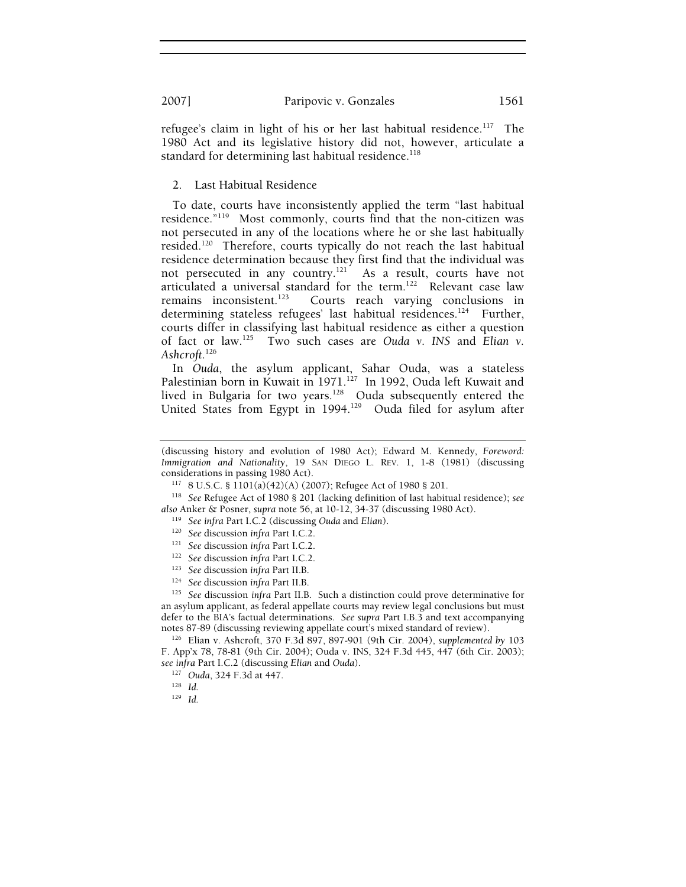refugee's claim in light of his or her last habitual residence.<sup>117</sup> The 1980 Act and its legislative history did not, however, articulate a standard for determining last habitual residence.<sup>118</sup>

2. Last Habitual Residence

To date, courts have inconsistently applied the term "last habitual residence."119 Most commonly, courts find that the non-citizen was not persecuted in any of the locations where he or she last habitually resided.120 Therefore, courts typically do not reach the last habitual residence determination because they first find that the individual was not persecuted in any country.<sup>121</sup> As a result, courts have not articulated a universal standard for the term.122 Relevant case law remains inconsistent.<sup>123</sup> Courts reach varying conclusions in determining stateless refugees' last habitual residences.<sup>124</sup> Further, courts differ in classifying last habitual residence as either a question of fact or law.125 Two such cases are *Ouda v. INS* and *Elian v. Ashcroft*. 126

In *Ouda*, the asylum applicant, Sahar Ouda, was a stateless Palestinian born in Kuwait in 1971.<sup>127</sup> In 1992, Ouda left Kuwait and lived in Bulgaria for two years.<sup>128</sup> Ouda subsequently entered the United States from Egypt in 1994.<sup>129</sup> Ouda filed for asylum after

an asylum applicant, as federal appellate courts may review legal conclusions but must defer to the BIA's factual determinations. *See supra* Part I.B.3 and text accompanying notes 87-89 (discussing reviewing appellate court's mixed standard of review). 126 Elian v. Ashcroft, 370 F.3d 897, 897-901 (9th Cir. 2004), *supplemented by*<sup>103</sup>

F. App'x 78, 78-81 (9th Cir. 2004); Ouda v. INS, 324 F.3d 445, 447 (6th Cir. 2003); *see infra* Part I.C.2 (discussing *Elian* and *Ouda*). 127 *Ouda*, 324 F.3d at 447. 128 *Id.*

<sup>(</sup>discussing history and evolution of 1980 Act); Edward M. Kennedy, *Foreword: Immigration and Nationality*, 19 SAN DIEGO L. REV. 1, 1-8 (1981) (discussing considerations in passing 1980 Act).

<sup>&</sup>lt;sup>117</sup> 8 U.S.C. § 1101(a)(42)(A) (2007); Refugee Act of 1980 § 201.<br><sup>118</sup> See Refugee Act of 1980 § 201 (lacking definition of last habitual residence); *see* also Anker & Posner, supra note 56, at 10-12, 34-37 (discussing 1980 Act).<br>
<sup>119</sup> See infra Part I.C.2 (discussing Ouda and Elian).<br>
<sup>120</sup> See discussion infra Part I.C.2.<br>
<sup>121</sup> See discussion infra Part I.C.2.<br>
<sup>122</sup> Se

<sup>129</sup> *Id.*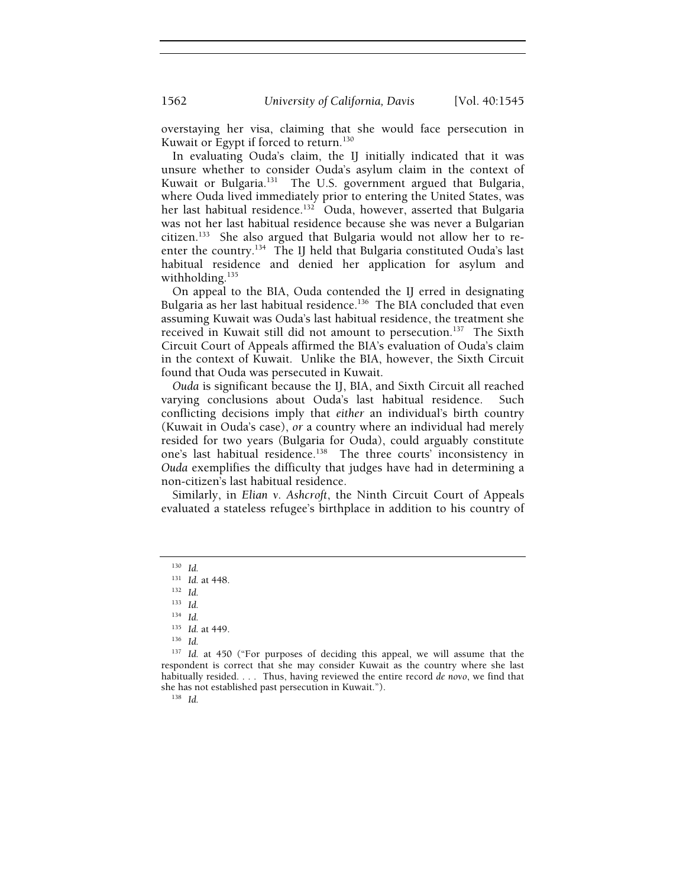overstaying her visa, claiming that she would face persecution in Kuwait or Egypt if forced to return.<sup>130</sup>

In evaluating Ouda's claim, the IJ initially indicated that it was unsure whether to consider Ouda's asylum claim in the context of Kuwait or Bulgaria.<sup>131</sup> The U.S. government argued that Bulgaria, where Ouda lived immediately prior to entering the United States, was her last habitual residence.<sup>132</sup> Ouda, however, asserted that Bulgaria was not her last habitual residence because she was never a Bulgarian citizen.133 She also argued that Bulgaria would not allow her to reenter the country.134 The IJ held that Bulgaria constituted Ouda's last habitual residence and denied her application for asylum and withholding.<sup>135</sup>

On appeal to the BIA, Ouda contended the IJ erred in designating Bulgaria as her last habitual residence.<sup>136</sup> The BIA concluded that even assuming Kuwait was Ouda's last habitual residence, the treatment she received in Kuwait still did not amount to persecution.<sup>137</sup> The Sixth Circuit Court of Appeals affirmed the BIA's evaluation of Ouda's claim in the context of Kuwait. Unlike the BIA, however, the Sixth Circuit found that Ouda was persecuted in Kuwait.

*Ouda* is significant because the IJ, BIA, and Sixth Circuit all reached varying conclusions about Ouda's last habitual residence. Such conflicting decisions imply that *either* an individual's birth country (Kuwait in Ouda's case), *or* a country where an individual had merely resided for two years (Bulgaria for Ouda), could arguably constitute one's last habitual residence.<sup>138</sup> The three courts' inconsistency in *Ouda* exemplifies the difficulty that judges have had in determining a non-citizen's last habitual residence.

Similarly, in *Elian v. Ashcroft*, the Ninth Circuit Court of Appeals evaluated a stateless refugee's birthplace in addition to his country of

<sup>130</sup> *Id.*

<sup>131</sup> *Id.* at 448. 132 *Id.*

<sup>133</sup> *Id.*

<sup>134</sup> *Id.*

<sup>135</sup> *Id.* at 449. 136 *Id.*

<sup>137</sup> *Id.* at 450 ("For purposes of deciding this appeal, we will assume that the respondent is correct that she may consider Kuwait as the country where she last habitually resided. . . . Thus, having reviewed the entire record *de novo*, we find that she has not established past persecution in Kuwait."). 138 *Id.*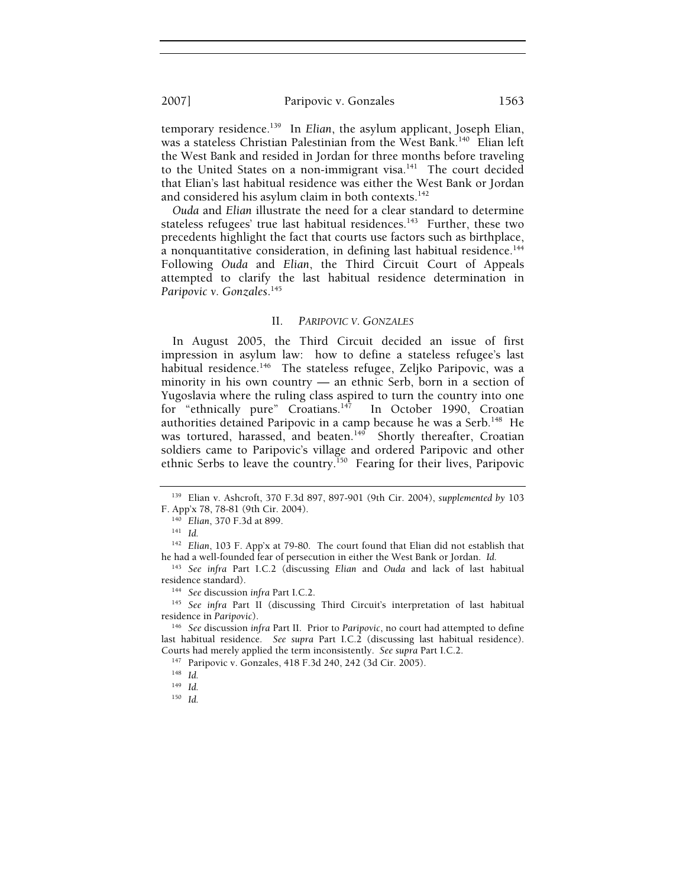2007] Paripovic v. Gonzales 1563

temporary residence.139 In *Elian*, the asylum applicant, Joseph Elian, was a stateless Christian Palestinian from the West Bank.<sup>140</sup> Elian left the West Bank and resided in Jordan for three months before traveling to the United States on a non-immigrant visa.<sup>141</sup> The court decided that Elian's last habitual residence was either the West Bank or Jordan and considered his asylum claim in both contexts.<sup>142</sup>

*Ouda* and *Elian* illustrate the need for a clear standard to determine stateless refugees' true last habitual residences. $143$  Further, these two precedents highlight the fact that courts use factors such as birthplace, a nonquantitative consideration, in defining last habitual residence.<sup>144</sup> Following *Ouda* and *Elian*, the Third Circuit Court of Appeals attempted to clarify the last habitual residence determination in *Paripovic v. Gonzales*. 145

#### II. *PARIPOVIC V. GONZALES*

In August 2005, the Third Circuit decided an issue of first impression in asylum law: how to define a stateless refugee's last habitual residence.<sup>146</sup> The stateless refugee, Zeljko Paripovic, was a minority in his own country — an ethnic Serb, born in a section of Yugoslavia where the ruling class aspired to turn the country into one for "ethnically pure" Croatians.<sup>147</sup> In October 1990, Croatian authorities detained Paripovic in a camp because he was a Serb.<sup>148</sup> He was tortured, harassed, and beaten.<sup>149</sup> Shortly thereafter, Croatian soldiers came to Paripovic's village and ordered Paripovic and other ethnic Serbs to leave the country.<sup>150</sup> Fearing for their lives, Paripovic

<sup>139</sup> Elian v. Ashcroft, 370 F.3d 897, 897-901 (9th Cir. 2004), *supplemented by* 103 F. App'x 78, 78-81 (9th Cir. 2004). 140 *Elian*, 370 F.3d at 899. 141 *Id.*

<sup>142</sup> *Elian*, 103 F. App'x at 79-80. The court found that Elian did not establish that he had a well-founded fear of persecution in either the West Bank or Jordan. *Id.*

<sup>143</sup> *See infra* Part I.C.2 (discussing *Elian* and *Ouda* and lack of last habitual

residence standard).<br><sup>144</sup> See discussion *infra* Part I.C.2.<br><sup>145</sup> See *infra* Part II (discussing Third Circuit's interpretation of last habitual residence in *Paripovic*).

<sup>&</sup>lt;sup>146</sup> See discussion *infra* Part II. Prior to Paripovic, no court had attempted to define last habitual residence. *See supra* Part I.C.2 (discussing last habitual residence). Courts had merely applied the term inconsistently. *See supra* Part I.C.2. 147 Paripovic v. Gonzales, 418 F.3d 240, 242 (3d Cir. 2005). 148 *Id.*

<sup>149</sup> *Id.*

<sup>150</sup> *Id.*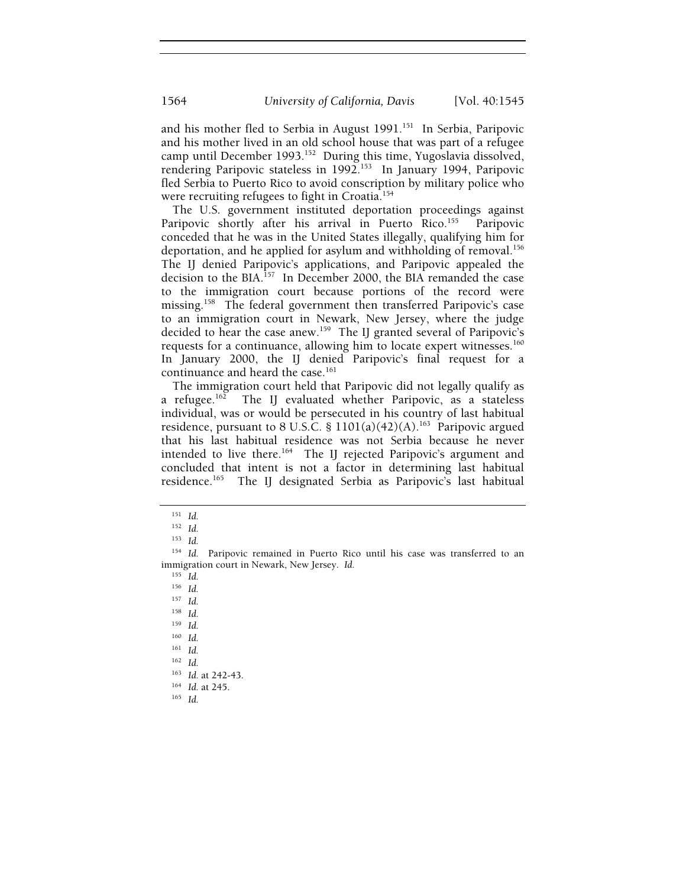and his mother fled to Serbia in August 1991.<sup>151</sup> In Serbia, Paripovic and his mother lived in an old school house that was part of a refugee camp until December 1993.152 During this time, Yugoslavia dissolved, rendering Paripovic stateless in 1992.<sup>153</sup> In January 1994, Paripovic fled Serbia to Puerto Rico to avoid conscription by military police who were recruiting refugees to fight in Croatia.<sup>154</sup>

The U.S. government instituted deportation proceedings against Paripovic shortly after his arrival in Puerto Rico.<sup>155</sup> Paripovic conceded that he was in the United States illegally, qualifying him for deportation, and he applied for asylum and withholding of removal.<sup>156</sup> The IJ denied Paripovic's applications, and Paripovic appealed the decision to the BIA.<sup>157</sup> In December 2000, the BIA remanded the case to the immigration court because portions of the record were missing.<sup>158</sup> The federal government then transferred Paripovic's case to an immigration court in Newark, New Jersey, where the judge decided to hear the case anew.<sup>159</sup> The IJ granted several of Paripovic's requests for a continuance, allowing him to locate expert witnesses.<sup>160</sup> In January 2000, the IJ denied Paripovic's final request for a continuance and heard the case.<sup>161</sup>

The immigration court held that Paripovic did not legally qualify as a refugee.<sup>162</sup> The IJ evaluated whether Paripovic, as a stateless The IJ evaluated whether Paripovic, as a stateless individual, was or would be persecuted in his country of last habitual residence, pursuant to 8 U.S.C. §  $1101(a)(42)(A)$ .<sup>163</sup> Paripovic argued that his last habitual residence was not Serbia because he never intended to live there.164 The IJ rejected Paripovic's argument and concluded that intent is not a factor in determining last habitual residence.165 The IJ designated Serbia as Paripovic's last habitual

<sup>155</sup> *Id.*

<sup>158</sup> *Id.* <sup>159</sup> *Id.*

<sup>160</sup> *Id.*

<sup>161</sup> *Id.*

<sup>162</sup> *Id.*

<sup>163</sup> *Id.* at 242-43. 164 *Id.* at 245. 165 *Id.*

<sup>151</sup> *Id.*

<sup>152</sup> *Id.*

<sup>153</sup> *Id.*

<sup>&</sup>lt;sup>154</sup> Id. Paripovic remained in Puerto Rico until his case was transferred to an immigration court in Newark, New Jersey. *Id.*

<sup>156</sup> *Id.* <sup>157</sup> *Id.*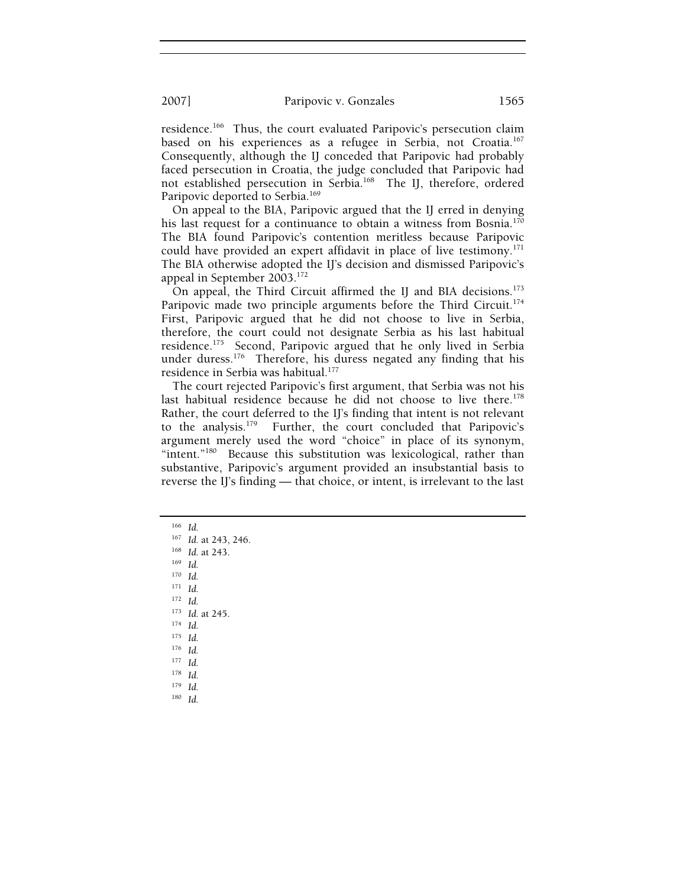2007] Paripovic v. Gonzales 1565

residence.<sup>166</sup> Thus, the court evaluated Paripovic's persecution claim based on his experiences as a refugee in Serbia, not Croatia.<sup>167</sup> Consequently, although the IJ conceded that Paripovic had probably faced persecution in Croatia, the judge concluded that Paripovic had not established persecution in Serbia.168 The IJ, therefore, ordered Paripovic deported to Serbia.<sup>169</sup>

On appeal to the BIA, Paripovic argued that the IJ erred in denying his last request for a continuance to obtain a witness from Bosnia.<sup>170</sup> The BIA found Paripovic's contention meritless because Paripovic could have provided an expert affidavit in place of live testimony.<sup>171</sup> The BIA otherwise adopted the IJ's decision and dismissed Paripovic's appeal in September 2003.172

On appeal, the Third Circuit affirmed the IJ and BIA decisions.<sup>173</sup> Paripovic made two principle arguments before the Third Circuit.<sup>174</sup> First, Paripovic argued that he did not choose to live in Serbia, therefore, the court could not designate Serbia as his last habitual residence.<sup>175</sup> Second, Paripovic argued that he only lived in Serbia under duress.<sup>176</sup> Therefore, his duress negated any finding that his residence in Serbia was habitual.177

The court rejected Paripovic's first argument, that Serbia was not his last habitual residence because he did not choose to live there.<sup>178</sup> Rather, the court deferred to the IJ's finding that intent is not relevant to the analysis.179 Further, the court concluded that Paripovic's argument merely used the word "choice" in place of its synonym, "intent."<sup>180</sup> Because this substitution was lexicological, rather than substantive, Paripovic's argument provided an insubstantial basis to reverse the IJ's finding — that choice, or intent, is irrelevant to the last

<sup>166</sup> *Id.*

<sup>167</sup> *Id.* at 243, 246. 168 *Id.* at 243. 169 *Id.*

<sup>170</sup> *Id.*

<sup>171</sup> *Id.*

<sup>172</sup> *Id.*

<sup>173</sup> *Id.* at 245. 174 *Id.*

<sup>175</sup> *Id.* <sup>176</sup> *Id.*

<sup>177</sup> *Id.*

<sup>178</sup> *Id.*

<sup>179</sup> *Id.*

180 *Id.*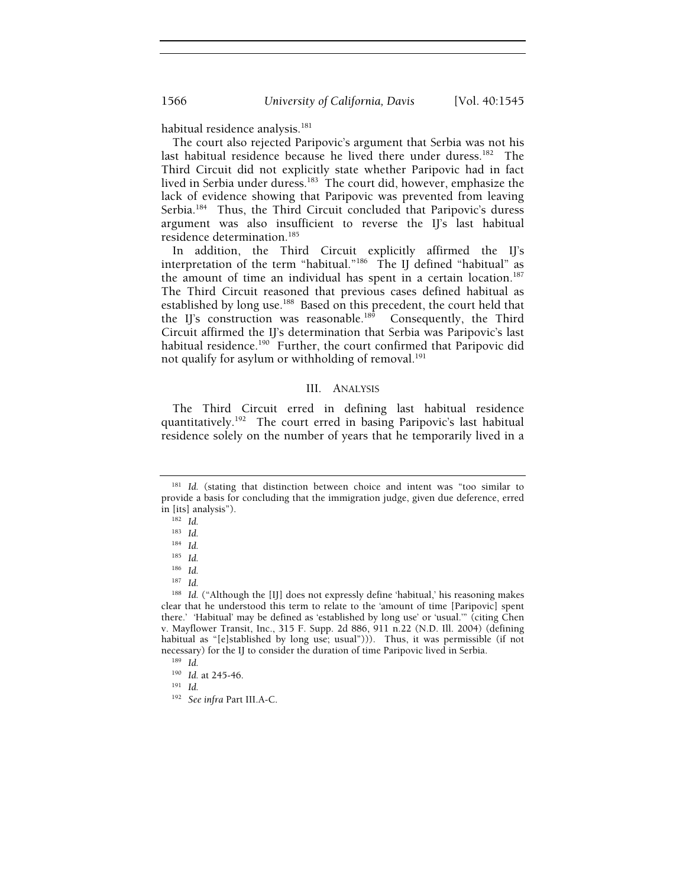habitual residence analysis.<sup>181</sup>

The court also rejected Paripovic's argument that Serbia was not his last habitual residence because he lived there under duress.<sup>182</sup> The Third Circuit did not explicitly state whether Paripovic had in fact lived in Serbia under duress.<sup>183</sup> The court did, however, emphasize the lack of evidence showing that Paripovic was prevented from leaving Serbia.<sup>184</sup> Thus, the Third Circuit concluded that Paripovic's duress argument was also insufficient to reverse the IJ's last habitual residence determination.<sup>185</sup>

In addition, the Third Circuit explicitly affirmed the IJ's interpretation of the term "habitual."186 The IJ defined "habitual" as the amount of time an individual has spent in a certain location.<sup>187</sup> The Third Circuit reasoned that previous cases defined habitual as established by long use.<sup>188</sup> Based on this precedent, the court held that the IJ's construction was reasonable.<sup>189</sup> Consequently, the Third Circuit affirmed the IJ's determination that Serbia was Paripovic's last habitual residence.<sup>190</sup> Further, the court confirmed that Paripovic did not qualify for asylum or withholding of removal.<sup>191</sup>

# III. ANALYSIS

The Third Circuit erred in defining last habitual residence quantitatively.192 The court erred in basing Paripovic's last habitual residence solely on the number of years that he temporarily lived in a

<sup>186</sup> *Id.*

<sup>&</sup>lt;sup>181</sup> Id. (stating that distinction between choice and intent was "too similar to provide a basis for concluding that the immigration judge, given due deference, erred in [its] analysis"). 182 *Id.*

<sup>183</sup> *Id.*

<sup>184</sup> *Id.*

<sup>185</sup> *Id.*

<sup>187</sup> *Id.*

<sup>&</sup>lt;sup>188</sup> Id. ("Although the [II] does not expressly define 'habitual,' his reasoning makes clear that he understood this term to relate to the 'amount of time [Paripovic] spent there.' 'Habitual' may be defined as 'established by long use' or 'usual.'" (citing Chen v. Mayflower Transit, Inc., 315 F. Supp. 2d 886, 911 n.22 (N.D. Ill. 2004) (defining habitual as "[e]stablished by long use; usual"))). Thus, it was permissible (if not necessary) for the IJ to consider the duration of time Paripovic lived in Serbia. 189 *Id.*

<sup>190</sup> *Id.* at 245-46. 191 *Id.*

<sup>192</sup> *See infra* Part III.A-C.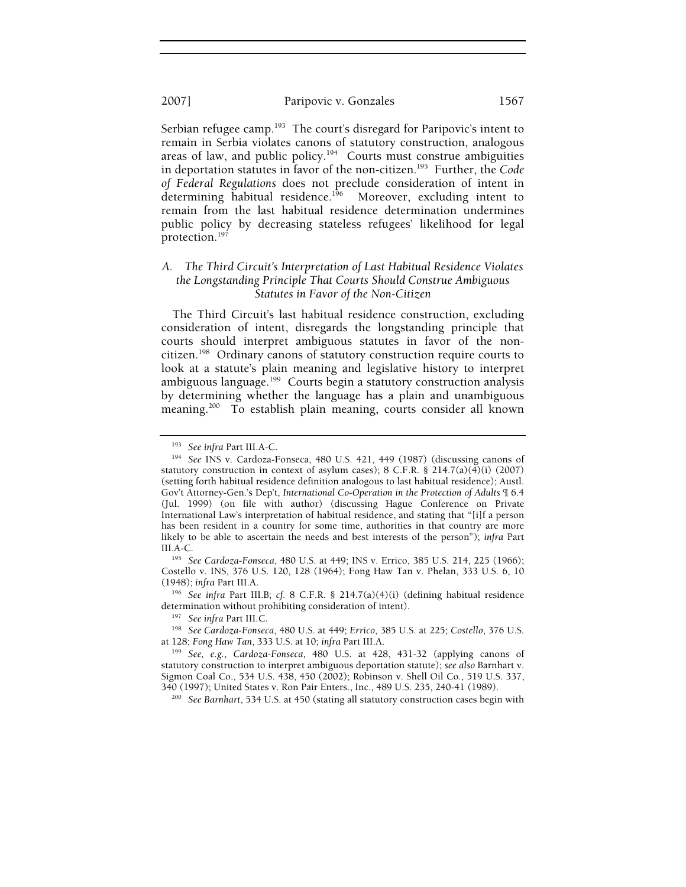Serbian refugee camp.<sup>193</sup> The court's disregard for Paripovic's intent to remain in Serbia violates canons of statutory construction, analogous areas of law, and public policy.<sup>194</sup> Courts must construe ambiguities in deportation statutes in favor of the non-citizen.195 Further, the *Code of Federal Regulations* does not preclude consideration of intent in determining habitual residence.<sup>196</sup> Moreover, excluding intent to remain from the last habitual residence determination undermines public policy by decreasing stateless refugees' likelihood for legal protection.197

# *A. The Third Circuit's Interpretation of Last Habitual Residence Violates the Longstanding Principle That Courts Should Construe Ambiguous Statutes in Favor of the Non-Citizen*

The Third Circuit's last habitual residence construction, excluding consideration of intent, disregards the longstanding principle that courts should interpret ambiguous statutes in favor of the noncitizen.198 Ordinary canons of statutory construction require courts to look at a statute's plain meaning and legislative history to interpret ambiguous language.<sup>199</sup> Courts begin a statutory construction analysis by determining whether the language has a plain and unambiguous meaning.<sup>200</sup> To establish plain meaning, courts consider all known

195 See Cardoza-Fonseca, 480 U.S. at 449; INS v. Errico, 385 U.S. 214, 225 (1966); Costello v. INS, 376 U.S. 120, 128 (1964); Fong Haw Tan v. Phelan, 333 U.S. 6, 10

(1948); *infra* Part III.A. 196 *See infra* Part III.B; *cf.* 8 C.F.R. § 214.7(a)(4)(i) (defining habitual residence

<sup>197</sup> See infra Part III.C.<br><sup>198</sup> See Cardoza-Fonseca, 480 U.S. at 449; *Errico*, 385 U.S. at 225; *Costello*, 376 U.S. at 128; *Fong Haw Tan*, 333 U.S. at 10; *infra Part III.A.* 

<sup>&</sup>lt;sup>193</sup> See infra Part III.A-C.<br><sup>194</sup> See INS v. Cardoza-Fonseca, 480 U.S. 421, 449 (1987) (discussing canons of statutory construction in context of asylum cases); 8 C.F.R.  $\S$  214.7(a)(4)(i) (2007) (setting forth habitual residence definition analogous to last habitual residence); Austl. Gov't Attorney-Gen.'s Dep't, *International Co-Operation in the Protection of Adults* ¶ 6.4 (Jul. 1999) (on file with author) (discussing Hague Conference on Private International Law's interpretation of habitual residence, and stating that "[i]f a person has been resident in a country for some time, authorities in that country are more likely to be able to ascertain the needs and best interests of the person"); *infra* Part

<sup>&</sup>lt;sup>199</sup> See, e.g., *Cardoza-Fonseca*, 480 U.S. at 428, 431-32 (applying canons of statutory construction to interpret ambiguous deportation statute); *see also* Barnhart v. Sigmon Coal Co., 534 U.S. 438, 450 (2002); Robinson v. Shell Oil Co., 519 U.S. 337, 340 (1997); United States v. Ron Pair Enters., Inc., 489 U.S. 235, 240-41 (1989). 200 *See Barnhart*, 534 U.S. at 450 (stating all statutory construction cases begin with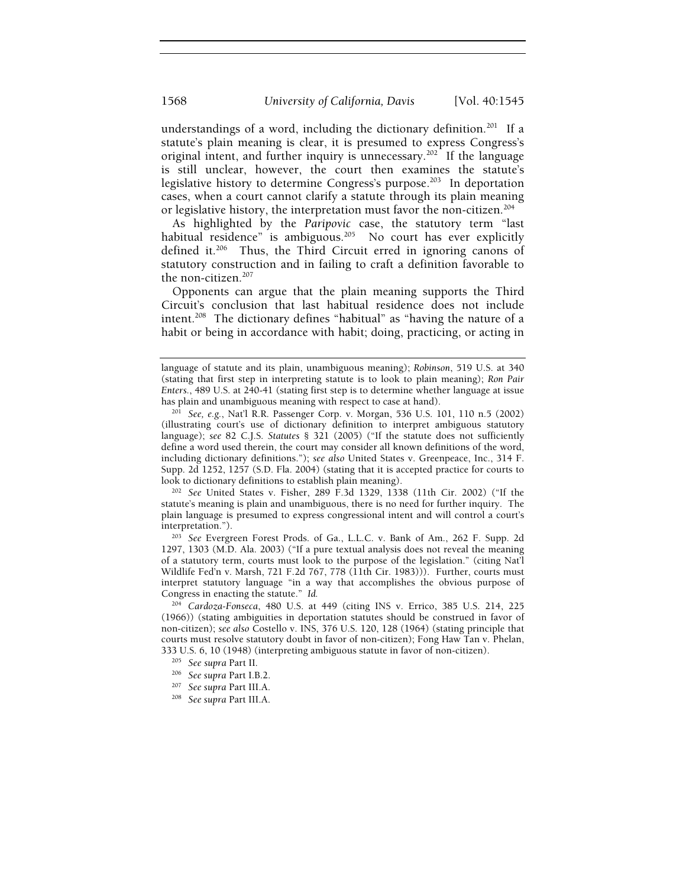understandings of a word, including the dictionary definition.<sup>201</sup> If a statute's plain meaning is clear, it is presumed to express Congress's original intent, and further inquiry is unnecessary.<sup>202</sup> If the language is still unclear, however, the court then examines the statute's legislative history to determine Congress's purpose.<sup>203</sup> In deportation cases, when a court cannot clarify a statute through its plain meaning or legislative history, the interpretation must favor the non-citizen.<sup>204</sup>

As highlighted by the *Paripovic* case, the statutory term "last habitual residence" is ambiguous.<sup>205</sup> No court has ever explicitly defined it.206 Thus, the Third Circuit erred in ignoring canons of statutory construction and in failing to craft a definition favorable to the non-citizen.<sup>207</sup>

Opponents can argue that the plain meaning supports the Third Circuit's conclusion that last habitual residence does not include intent.<sup>208</sup> The dictionary defines "habitual" as "having the nature of a habit or being in accordance with habit; doing, practicing, or acting in

statute's meaning is plain and unambiguous, there is no need for further inquiry. The plain language is presumed to express congressional intent and will control a court's

interpretation."). 203 *See* Evergreen Forest Prods. of Ga., L.L.C. v. Bank of Am., 262 F. Supp. 2d 1297, 1303 (M.D. Ala. 2003) ("If a pure textual analysis does not reveal the meaning of a statutory term, courts must look to the purpose of the legislation." (citing Nat'l Wildlife Fed'n v. Marsh, 721 F.2d 767, 778 (11th Cir. 1983))). Further, courts must interpret statutory language "in a way that accomplishes the obvious purpose of Congress in enacting the statute." *Id.*

<sup>204</sup> *Cardoza-Fonseca*, 480 U.S. at 449 (citing INS v. Errico, 385 U.S. 214, 225 (1966)) (stating ambiguities in deportation statutes should be construed in favor of non-citizen); *see also* Costello v. INS, 376 U.S. 120, 128 (1964) (stating principle that courts must resolve statutory doubt in favor of non-citizen); Fong Haw Tan v. Phelan, 333 U.S. 6, 10 (1948) (interpreting ambiguous statute in favor of non-citizen).<br><sup>205</sup> See *supra* Part II. 206*<br><sup>206</sup> See supra* Part III.A. <sup>208</sup> See *supra* Part III.A.

- 
- 

language of statute and its plain, unambiguous meaning); *Robinson*, 519 U.S. at 340 (stating that first step in interpreting statute is to look to plain meaning); *Ron Pair Enters.*, 489 U.S. at 240-41 (stating first step is to determine whether language at issue

has plain and unambiguous meaning with respect to case at hand). 201 *See, e.g.*, Nat'l R.R. Passenger Corp. v. Morgan, 536 U.S. 101, 110 n.5 (2002) (illustrating court's use of dictionary definition to interpret ambiguous statutory language); *see* 82 C.J.S. *Statutes* § 321 (2005) ("If the statute does not sufficiently define a word used therein, the court may consider all known definitions of the word, including dictionary definitions."); *see also* United States v. Greenpeace, Inc., 314 F. Supp. 2d 1252, 1257 (S.D. Fla. 2004) (stating that it is accepted practice for courts to look to dictionary definitions to establish plain meaning). 202 *See* United States v. Fisher, 289 F.3d 1329, 1338 (11th Cir. 2002) ("If the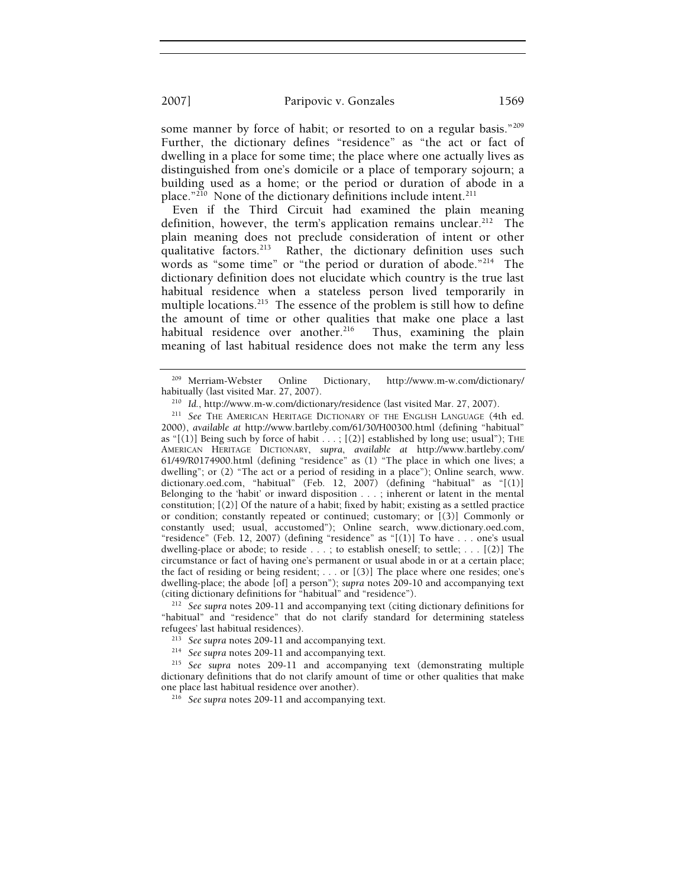# 2007] Paripovic v. Gonzales 1569

some manner by force of habit; or resorted to on a regular basis."<sup>209</sup> Further, the dictionary defines "residence" as "the act or fact of dwelling in a place for some time; the place where one actually lives as distinguished from one's domicile or a place of temporary sojourn; a building used as a home; or the period or duration of abode in a place."<sup>210</sup> None of the dictionary definitions include intent.<sup>211</sup>

Even if the Third Circuit had examined the plain meaning definition, however, the term's application remains unclear.<sup>212</sup> The plain meaning does not preclude consideration of intent or other qualitative factors.<sup>213</sup> Rather, the dictionary definition uses such words as "some time" or "the period or duration of abode."<sup>214</sup> The dictionary definition does not elucidate which country is the true last habitual residence when a stateless person lived temporarily in multiple locations.<sup>215</sup> The essence of the problem is still how to define the amount of time or other qualities that make one place a last habitual residence over another.<sup>216</sup> Thus, examining the plain meaning of last habitual residence does not make the term any less

"habitual" and "residence" that do not clarify standard for determining stateless refugees' last habitual residences).<br>
<sup>213</sup> See supra notes 209-11 and accompanying text.<br>
<sup>214</sup> See supra notes 209-11 and accompanying text.<br>
<sup>215</sup> See supra notes 209-11 and accompanying text (demonstrating multiple

<sup>&</sup>lt;sup>209</sup> Merriam-Webster Online Dictionary, http://www.m-w.com/dictionary/<br>habitually (last visited Mar. 27, 2007).

habitually (last visited Mar. 27, 2007). 210 *Id.*, http://www.m-w.com/dictionary/residence (last visited Mar. 27, 2007). 211 *See* THE AMERICAN HERITAGE DICTIONARY OF THE ENGLISH LANGUAGE (4th ed. 2000), *available at* http://www.bartleby.com/61/30/H00300.html (defining "habitual" as " $[(1)]$  Being such by force of habit  $\ldots$ ;  $[(2)]$  established by long use; usual"); THE AMERICAN HERITAGE DICTIONARY, *supra*, *available at* http://www.bartleby.com/ 61/49/R0174900.html (defining "residence" as (1) "The place in which one lives; a dwelling"; or (2) "The act or a period of residing in a place"); Online search, www. dictionary.oed.com, "habitual" (Feb. 12, 2007) (defining "habitual" as "[(1)] Belonging to the 'habit' or inward disposition . . . ; inherent or latent in the mental constitution; [(2)] Of the nature of a habit; fixed by habit; existing as a settled practice or condition; constantly repeated or continued; customary; or [(3)] Commonly or constantly used; usual, accustomed"); Online search, www.dictionary.oed.com, "residence" (Feb. 12, 2007) (defining "residence" as "[(1)] To have . . . one's usual dwelling-place or abode; to reside . . . ; to establish oneself; to settle; . . . [(2)] The circumstance or fact of having one's permanent or usual abode in or at a certain place; the fact of residing or being resident; . . . or [(3)] The place where one resides; one's dwelling-place; the abode [of] a person"); *supra* notes 209-10 and accompanying text (citing dictionary definitions for "habitual" and "residence"). 212 *See supra* notes 209-11 and accompanying text (citing dictionary definitions for

dictionary definitions that do not clarify amount of time or other qualities that make one place last habitual residence over another). 216 *See supra* notes 209-11 and accompanying text.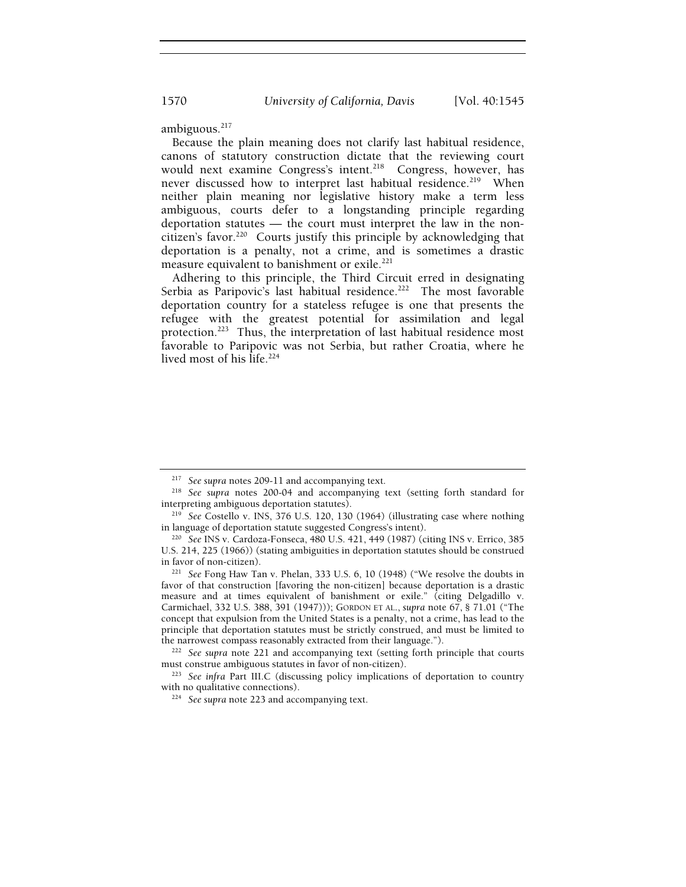ambiguous.<sup>217</sup>

Because the plain meaning does not clarify last habitual residence, canons of statutory construction dictate that the reviewing court would next examine Congress's intent.<sup>218</sup> Congress, however, has never discussed how to interpret last habitual residence.<sup>219</sup> When neither plain meaning nor legislative history make a term less ambiguous, courts defer to a longstanding principle regarding deportation statutes — the court must interpret the law in the noncitizen's favor.<sup>220</sup> Courts justify this principle by acknowledging that deportation is a penalty, not a crime, and is sometimes a drastic measure equivalent to banishment or exile.<sup>221</sup>

Adhering to this principle, the Third Circuit erred in designating Serbia as Paripovic's last habitual residence.<sup>222</sup> The most favorable deportation country for a stateless refugee is one that presents the refugee with the greatest potential for assimilation and legal protection.<sup>223</sup> Thus, the interpretation of last habitual residence most favorable to Paripovic was not Serbia, but rather Croatia, where he lived most of his life.<sup>224</sup>

<sup>217</sup> *See supra* notes 209-11 and accompanying text. 218 *See supra* notes 200-04 and accompanying text (setting forth standard for

interpreting ambiguous deportation statutes). 219 *See* Costello v. INS, 376 U.S. 120, 130 (1964) (illustrating case where nothing

<sup>&</sup>lt;sup>220</sup> See INS v. Cardoza-Fonseca, 480 U.S. 421, 449 (1987) (citing INS v. Errico, 385 U.S. 214, 225 (1966)) (stating ambiguities in deportation statutes should be construed in favor of non-citizen). 221 *See* Fong Haw Tan v. Phelan, 333 U.S. 6, 10 (1948) ("We resolve the doubts in

favor of that construction [favoring the non-citizen] because deportation is a drastic measure and at times equivalent of banishment or exile." (citing Delgadillo v. Carmichael, 332 U.S. 388, 391 (1947))); GORDON ET AL., *supra* note 67, § 71.01 ("The concept that expulsion from the United States is a penalty, not a crime, has lead to the principle that deportation statutes must be strictly construed, and must be limited to

the narrowest compass reasonably extracted from their language.").<br><sup>222</sup> See supra note 221 and accompanying text (setting forth principle that courts<br>must construe ambiguous statutes in favor of non-citizen).

<sup>&</sup>lt;sup>223</sup> See infra Part III.C (discussing policy implications of deportation to country with no qualitative connections).

<sup>&</sup>lt;sup>224</sup> See supra note 223 and accompanying text.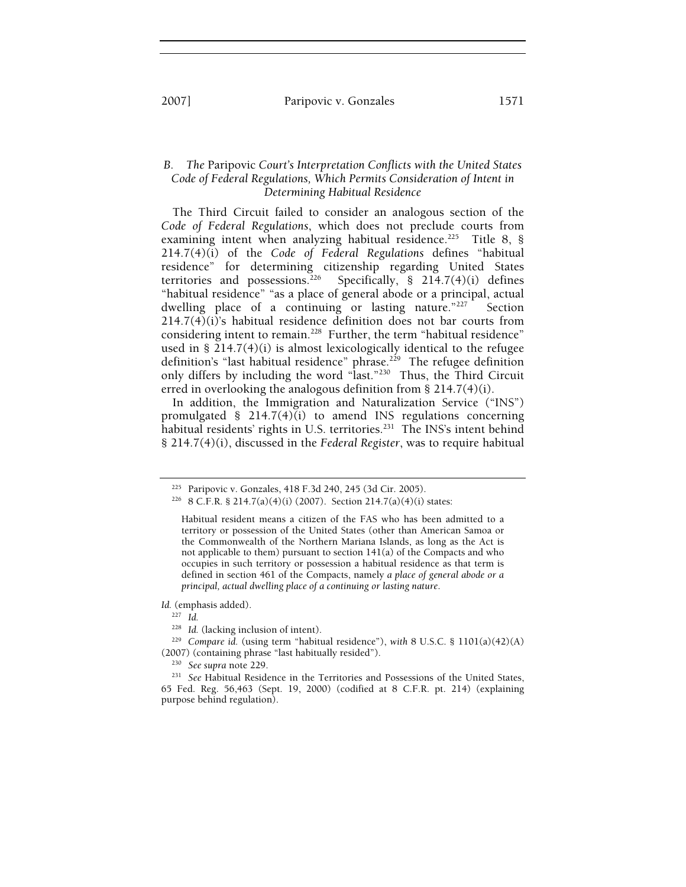# *B. The* Paripovic *Court's Interpretation Conflicts with the United States Code of Federal Regulations, Which Permits Consideration of Intent in Determining Habitual Residence*

The Third Circuit failed to consider an analogous section of the *Code of Federal Regulations*, which does not preclude courts from examining intent when analyzing habitual residence.<sup>225</sup> Title 8, § 214.7(4)(i) of the *Code of Federal Regulations* defines "habitual residence" for determining citizenship regarding United States territories and possessions.<sup>226</sup> Specifically, § 214.7(4)(i) defines "habitual residence" "as a place of general abode or a principal, actual dwelling place of a continuing or lasting nature."<sup>227</sup> Section  $214.7(4)(i)$ 's habitual residence definition does not bar courts from considering intent to remain.<sup>228</sup> Further, the term "habitual residence" used in §  $\tilde{2}14.7(4)(i)$  is almost lexicologically identical to the refugee definition's "last habitual residence" phrase.<sup>229</sup> The refugee definition only differs by including the word "last."230 Thus, the Third Circuit erred in overlooking the analogous definition from § 214.7(4)(i).

In addition, the Immigration and Naturalization Service ("INS") promulgated  $\S$  214.7(4)(i) to amend INS regulations concerning habitual residents' rights in U.S. territories.<sup>231</sup> The INS's intent behind § 214.7(4)(i), discussed in the *Federal Register*, was to require habitual

*Id.* (emphasis added).

<sup>&</sup>lt;sup>225</sup> Paripovic v. Gonzales, 418 F.3d 240, 245 (3d Cir. 2005).<br><sup>226</sup> 8 C.F.R. § 214.7(a)(4)(i) (2007). Section 214.7(a)(4)(i) states:

Habitual resident means a citizen of the FAS who has been admitted to a territory or possession of the United States (other than American Samoa or the Commonwealth of the Northern Mariana Islands, as long as the Act is not applicable to them) pursuant to section  $141(a)$  of the Compacts and who occupies in such territory or possession a habitual residence as that term is defined in section 461 of the Compacts, namely *a place of general abode or a principal, actual dwelling place of a continuing or lasting nature*.

<sup>&</sup>lt;sup>227</sup> *Id.* (lacking inclusion of intent).

<sup>&</sup>lt;sup>229</sup> Compare *id.* (using term "habitual residence"), *with* 8 U.S.C. § 1101(a)(42)(A) (2007) (containing phrase "last habitually resided").

<sup>&</sup>lt;sup>230</sup> See supra note 229.<br><sup>231</sup> See Habitual Residence in the Territories and Possessions of the United States, 65 Fed. Reg. 56,463 (Sept. 19, 2000) (codified at 8 C.F.R. pt. 214) (explaining purpose behind regulation).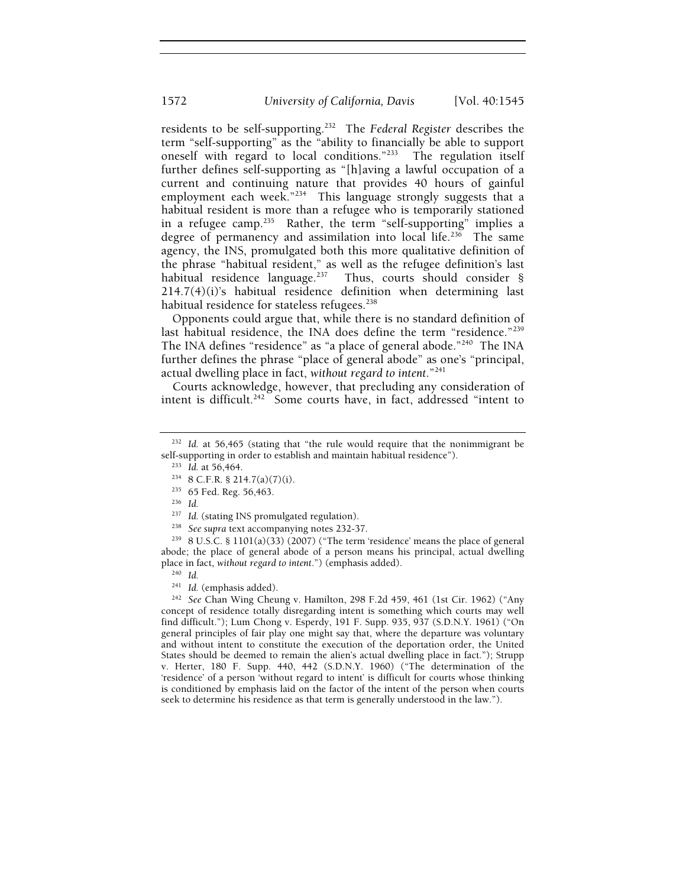residents to be self-supporting.232 The *Federal Register* describes the term "self-supporting" as the "ability to financially be able to support oneself with regard to local conditions."233 The regulation itself further defines self-supporting as "[h]aving a lawful occupation of a current and continuing nature that provides 40 hours of gainful employment each week."<sup>234</sup> This language strongly suggests that a habitual resident is more than a refugee who is temporarily stationed in a refugee camp.<sup>235</sup> Rather, the term "self-supporting" implies a degree of permanency and assimilation into local life.<sup>236</sup> The same agency, the INS, promulgated both this more qualitative definition of the phrase "habitual resident," as well as the refugee definition's last habitual residence language.<sup>237</sup> Thus, courts should consider  $\S$ Thus, courts should consider § 214.7(4)(i)'s habitual residence definition when determining last habitual residence for stateless refugees.<sup>238</sup>

Opponents could argue that, while there is no standard definition of last habitual residence, the INA does define the term "residence."<sup>239</sup> The INA defines "residence" as "a place of general abode."240 The INA further defines the phrase "place of general abode" as one's "principal, actual dwelling place in fact, *without regard to intent*."241

Courts acknowledge, however, that precluding any consideration of intent is difficult.<sup>242</sup> Some courts have, in fact, addressed "intent to

<sup>238</sup> See supra text accompanying notes 232-37.<br><sup>239</sup> 8 U.S.C. § 1101(a)(33) (2007) ("The term 'residence' means the place of general abode; the place of general abode of a person means his principal, actual dwelling place in fact, *without regard to intent*.") (emphasis added).<br><sup>240</sup> *Id.* (emphasis added).

<sup>242</sup> See Chan Wing Cheung v. Hamilton, 298 F.2d 459, 461 (1st Cir. 1962) ("Any concept of residence totally disregarding intent is something which courts may well find difficult."); Lum Chong v. Esperdy, 191 F. Supp. 935, 937 (S.D.N.Y. 1961) ("On general principles of fair play one might say that, where the departure was voluntary and without intent to constitute the execution of the deportation order, the United States should be deemed to remain the alien's actual dwelling place in fact."); Strupp v. Herter, 180 F. Supp. 440, 442 (S.D.N.Y. 1960) ("The determination of the 'residence' of a person 'without regard to intent' is difficult for courts whose thinking is conditioned by emphasis laid on the factor of the intent of the person when courts seek to determine his residence as that term is generally understood in the law.").

<sup>&</sup>lt;sup>232</sup> Id. at 56,465 (stating that "the rule would require that the nonimmigrant be self-supporting in order to establish and maintain habitual residence").<br><sup>233</sup> *Id.* at 56,464.<br><sup>234</sup> 8 C.F.R. § 214.7(a)(7)(i).<br><sup>235</sup> 65 Fed. Reg. 56,463.<br><sup>236</sup> *Id.*<br><sup>237</sup> *Id.* (stating INS promulgated regulation).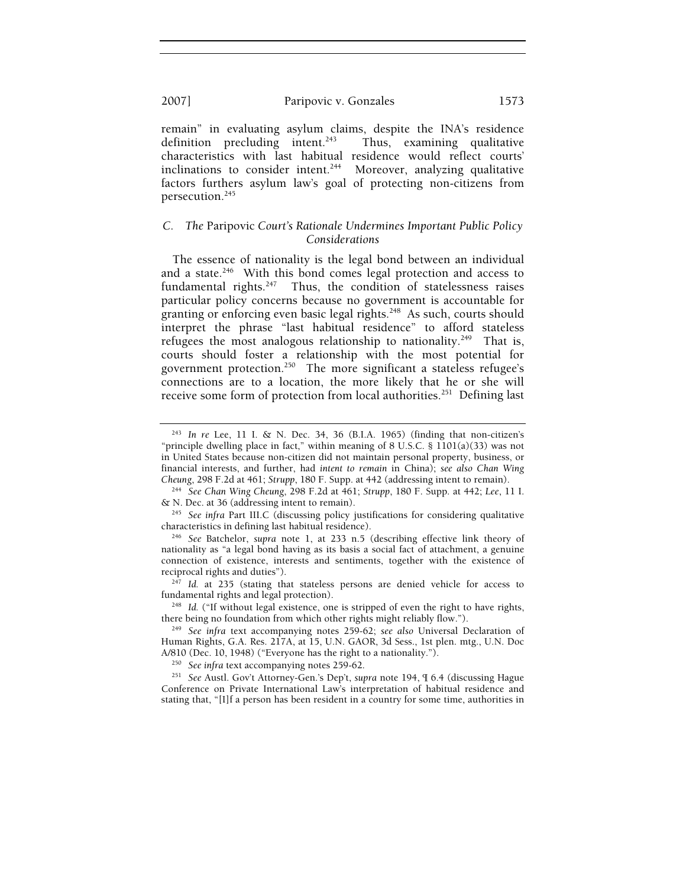remain" in evaluating asylum claims, despite the INA's residence definition precluding intent. $243$  Thus, examining qualitative characteristics with last habitual residence would reflect courts' inclinations to consider intent.<sup>244</sup> Moreover, analyzing qualitative factors furthers asylum law's goal of protecting non-citizens from persecution.<sup>245</sup>

# *C. The* Paripovic *Court's Rationale Undermines Important Public Policy Considerations*

The essence of nationality is the legal bond between an individual and a state. $246$  With this bond comes legal protection and access to fundamental rights. $247$  Thus, the condition of statelessness raises particular policy concerns because no government is accountable for granting or enforcing even basic legal rights.<sup>248</sup> As such, courts should interpret the phrase "last habitual residence" to afford stateless refugees the most analogous relationship to nationality.<sup>249</sup> That is, courts should foster a relationship with the most potential for government protection.250 The more significant a stateless refugee's connections are to a location, the more likely that he or she will receive some form of protection from local authorities.<sup>251</sup> Defining last

<sup>243</sup> *In re* Lee, 11 I. & N. Dec. 34, 36 (B.I.A. 1965) (finding that non-citizen's "principle dwelling place in fact," within meaning of 8 U.S.C.  $\S$  1101(a)(33) was not in United States because non-citizen did not maintain personal property, business, or financial interests, and further, had *intent to remain* in China); *see also Chan Wing* 

<sup>&</sup>lt;sup>244</sup> See Chan Wing Cheung, 298 F.2d at 461; *Strupp*, 180 F. Supp. at 442; *Lee*, 11 I. & N. Dec. at 36 (addressing intent to remain).

<sup>&</sup>lt;sup>245</sup> See infra Part III.C (discussing policy justifications for considering qualitative characteristics in defining last habitual residence).

<sup>&</sup>lt;sup>246</sup> See Batchelor, *supra* note 1, at 233 n.5 (describing effective link theory of nationality as "a legal bond having as its basis a social fact of attachment, a genuine connection of existence, interests and sentiments, together with the existence of

reciprocal rights and duties").<br><sup>247</sup> *Id.* at 235 (stating that stateless persons are denied vehicle for access to fundamental rights and legal protection).

<sup>&</sup>lt;sup>248</sup> Id. ("If without legal existence, one is stripped of even the right to have rights, there being no foundation from which other rights might reliably flow.").

<sup>&</sup>lt;sup>249</sup> See infra text accompanying notes 259-62; see also Universal Declaration of Human Rights, G.A. Res. 217A, at 15, U.N. GAOR, 3d Sess., 1st plen. mtg., U.N. Doc A/810 (Dec. 10, 1948) ("Everyone has the right to a nationality.").

<sup>&</sup>lt;sup>250</sup> See infra text accompanying notes 259-62.<br><sup>251</sup> See Austl. Gov't Attorney-Gen.'s Dep't, *supra* note 194, ¶ 6.4 (discussing Hague Conference on Private International Law's interpretation of habitual residence and stating that, "[I]f a person has been resident in a country for some time, authorities in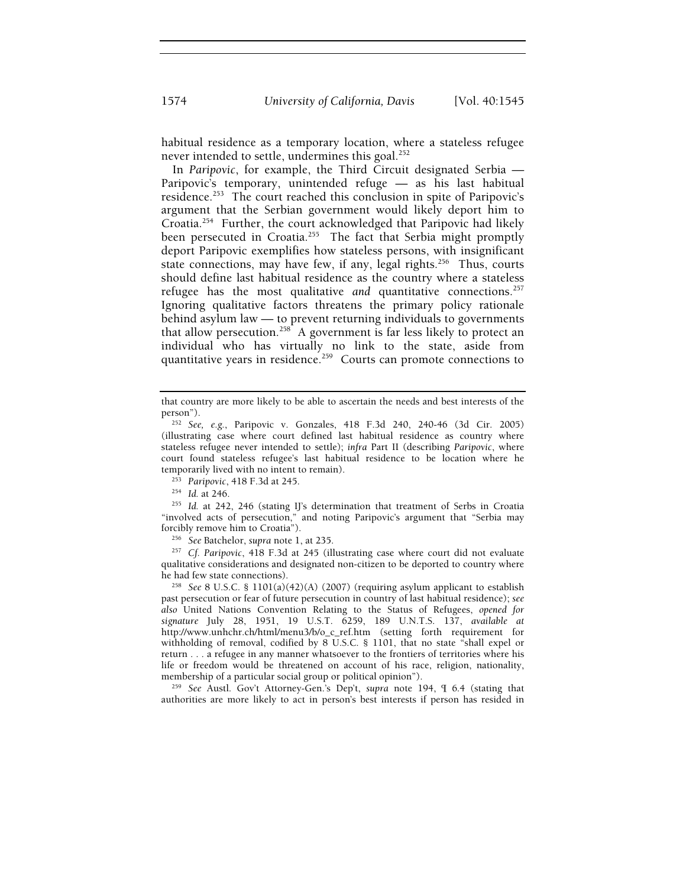habitual residence as a temporary location, where a stateless refugee never intended to settle, undermines this goal.<sup>252</sup>

In *Paripovic*, for example, the Third Circuit designated Serbia — Paripovic's temporary, unintended refuge — as his last habitual residence.<sup>253</sup> The court reached this conclusion in spite of Paripovic's argument that the Serbian government would likely deport him to Croatia.254 Further, the court acknowledged that Paripovic had likely been persecuted in Croatia.<sup>255</sup> The fact that Serbia might promptly deport Paripovic exemplifies how stateless persons, with insignificant state connections, may have few, if any, legal rights.<sup>256</sup> Thus, courts should define last habitual residence as the country where a stateless refugee has the most qualitative and quantitative connections.<sup>257</sup> Ignoring qualitative factors threatens the primary policy rationale behind asylum law — to prevent returning individuals to governments that allow persecution.<sup>258</sup> A government is far less likely to protect an individual who has virtually no link to the state, aside from quantitative years in residence.<sup>259</sup> Courts can promote connections to

"involved acts of persecution," and noting Paripovic's argument that "Serbia may forcibly remove him to Croatia"). 256 *See* Batchelor, *supra* note 1, at 235. 257 *Cf. Paripovic*, 418 F.3d at 245 (illustrating case where court did not evaluate

qualitative considerations and designated non-citizen to be deported to country where

he had few state connections). 258 *See* 8 U.S.C. § 1101(a)(42)(A) (2007) (requiring asylum applicant to establish past persecution or fear of future persecution in country of last habitual residence); *see also* United Nations Convention Relating to the Status of Refugees, *opened for signature* July 28, 1951, 19 U.S.T. 6259, 189 U.N.T.S. 137, *available at* http://www.unhchr.ch/html/menu3/b/o\_c\_ref.htm (setting forth requirement for withholding of removal, codified by 8 U.S.C. § 1101, that no state "shall expel or return . . . a refugee in any manner whatsoever to the frontiers of territories where his life or freedom would be threatened on account of his race, religion, nationality, membership of a particular social group or political opinion"). 259 *See* Austl. Gov't Attorney-Gen.'s Dep't, *supra* note 194, ¶ 6.4 (stating that

authorities are more likely to act in person's best interests if person has resided in

that country are more likely to be able to ascertain the needs and best interests of the

person"). 252 *See, e.g.*, Paripovic v. Gonzales, 418 F.3d 240, 240-46 (3d Cir. 2005) (illustrating case where court defined last habitual residence as country where stateless refugee never intended to settle); *infra* Part II (describing *Paripovic*, where court found stateless refugee's last habitual residence to be location where he temporarily lived with no intent to remain).<br><sup>253</sup> *Paripovic*, 418 F.3d at 245.<br><sup>254</sup> *Id.* at 246. 255 *Id.* at 242, 246 (stating IJ's determination that treatment of Serbs in Croatia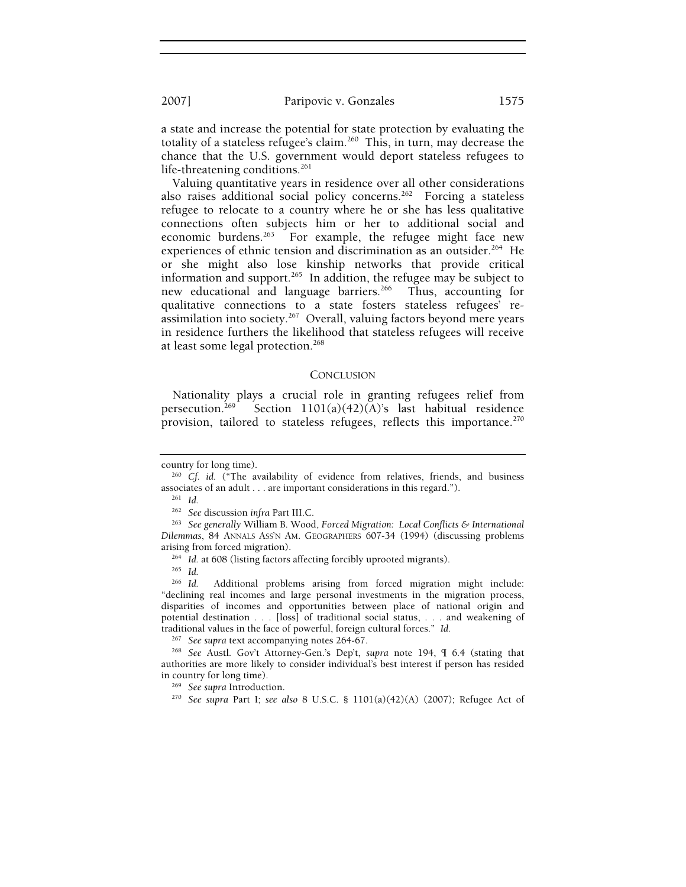a state and increase the potential for state protection by evaluating the totality of a stateless refugee's claim.<sup>260</sup> This, in turn, may decrease the chance that the U.S. government would deport stateless refugees to life-threatening conditions.<sup>261</sup>

Valuing quantitative years in residence over all other considerations also raises additional social policy concerns.<sup>262</sup> Forcing a stateless refugee to relocate to a country where he or she has less qualitative connections often subjects him or her to additional social and economic burdens.<sup>263</sup> For example, the refugee might face new experiences of ethnic tension and discrimination as an outsider.<sup>264</sup> He or she might also lose kinship networks that provide critical information and support.<sup>265</sup> In addition, the refugee may be subject to new educational and language barriers.<sup>266</sup> Thus, accounting for new educational and language barriers.<sup>266</sup> qualitative connections to a state fosters stateless refugees' reassimilation into society.267 Overall, valuing factors beyond mere years in residence furthers the likelihood that stateless refugees will receive at least some legal protection.<sup>268</sup>

#### **CONCLUSION**

Nationality plays a crucial role in granting refugees relief from persecution.<sup>269</sup> Section  $1101(a)(42)(A)$ 's last habitual residence provision, tailored to stateless refugees, reflects this importance.<sup>270</sup>

country for long time). 260 *Cf. id.* ("The availability of evidence from relatives, friends, and business associates of an adult . . . are important considerations in this regard.").<br><sup>261</sup> *Id.* <sup>262</sup> *See* discussion infra Part III.C.

<sup>&</sup>lt;sup>263</sup> See generally William B. Wood, *Forced Migration: Local Conflicts & International Dilemmas*, 84 ANNALS ASS'N AM. GEOGRAPHERS 607-34 (1994) (discussing problems

arising from forced migration). 264 *Id.* at 608 (listing factors affecting forcibly uprooted migrants). 265 *Id.*

<sup>266</sup> *Id.* Additional problems arising from forced migration might include: "declining real incomes and large personal investments in the migration process, disparities of incomes and opportunities between place of national origin and potential destination . . . [loss] of traditional social status, . . . and weakening of traditional values in the face of powerful, foreign cultural forces." *Id.*

<sup>267</sup> *See supra* text accompanying notes 264-67. 268 *See* Austl. Gov't Attorney-Gen.'s Dep't, *supra* note 194, ¶ 6.4 (stating that authorities are more likely to consider individual's best interest if person has resided in country for long time). 269 *See supra* Introduction. 270 *See supra* Part I; *see also* 8 U.S.C. § 1101(a)(42)(A) (2007); Refugee Act of